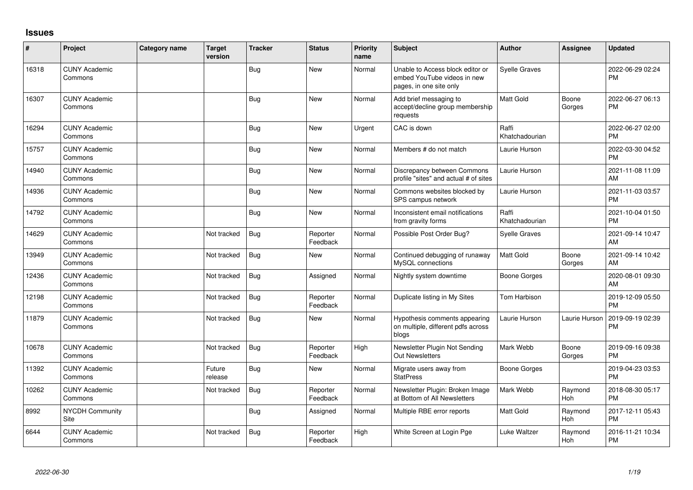## **Issues**

| #     | Project                         | <b>Category name</b> | <b>Target</b><br>version | <b>Tracker</b> | <b>Status</b>        | Priority<br>name | <b>Subject</b>                                                                             | <b>Author</b>           | <b>Assignee</b> | <b>Updated</b>                |
|-------|---------------------------------|----------------------|--------------------------|----------------|----------------------|------------------|--------------------------------------------------------------------------------------------|-------------------------|-----------------|-------------------------------|
| 16318 | <b>CUNY Academic</b><br>Commons |                      |                          | Bug            | <b>New</b>           | Normal           | Unable to Access block editor or<br>embed YouTube videos in new<br>pages, in one site only | <b>Syelle Graves</b>    |                 | 2022-06-29 02:24<br><b>PM</b> |
| 16307 | <b>CUNY Academic</b><br>Commons |                      |                          | Bug            | <b>New</b>           | Normal           | Add brief messaging to<br>accept/decline group membership<br>requests                      | <b>Matt Gold</b>        | Boone<br>Gorges | 2022-06-27 06:13<br><b>PM</b> |
| 16294 | <b>CUNY Academic</b><br>Commons |                      |                          | Bug            | <b>New</b>           | Urgent           | CAC is down                                                                                | Raffi<br>Khatchadourian |                 | 2022-06-27 02:00<br><b>PM</b> |
| 15757 | <b>CUNY Academic</b><br>Commons |                      |                          | Bug            | <b>New</b>           | Normal           | Members # do not match                                                                     | Laurie Hurson           |                 | 2022-03-30 04:52<br><b>PM</b> |
| 14940 | <b>CUNY Academic</b><br>Commons |                      |                          | Bug            | <b>New</b>           | Normal           | Discrepancy between Commons<br>profile "sites" and actual # of sites                       | Laurie Hurson           |                 | 2021-11-08 11:09<br>AM        |
| 14936 | <b>CUNY Academic</b><br>Commons |                      |                          | Bug            | New                  | Normal           | Commons websites blocked by<br>SPS campus network                                          | Laurie Hurson           |                 | 2021-11-03 03:57<br><b>PM</b> |
| 14792 | <b>CUNY Academic</b><br>Commons |                      |                          | Bug            | New                  | Normal           | Inconsistent email notifications<br>from gravity forms                                     | Raffi<br>Khatchadourian |                 | 2021-10-04 01:50<br><b>PM</b> |
| 14629 | <b>CUNY Academic</b><br>Commons |                      | Not tracked              | Bug            | Reporter<br>Feedback | Normal           | Possible Post Order Bug?                                                                   | <b>Syelle Graves</b>    |                 | 2021-09-14 10:47<br>AM        |
| 13949 | <b>CUNY Academic</b><br>Commons |                      | Not tracked              | Bug            | <b>New</b>           | Normal           | Continued debugging of runaway<br>MySQL connections                                        | <b>Matt Gold</b>        | Boone<br>Gorges | 2021-09-14 10:42<br>AM        |
| 12436 | <b>CUNY Academic</b><br>Commons |                      | Not tracked              | Bug            | Assigned             | Normal           | Nightly system downtime                                                                    | Boone Gorges            |                 | 2020-08-01 09:30<br>AM        |
| 12198 | <b>CUNY Academic</b><br>Commons |                      | Not tracked              | Bug            | Reporter<br>Feedback | Normal           | Duplicate listing in My Sites                                                              | <b>Tom Harbison</b>     |                 | 2019-12-09 05:50<br><b>PM</b> |
| 11879 | <b>CUNY Academic</b><br>Commons |                      | Not tracked              | Bug            | New                  | Normal           | Hypothesis comments appearing<br>on multiple, different pdfs across<br>blogs               | Laurie Hurson           | Laurie Hurson   | 2019-09-19 02:39<br><b>PM</b> |
| 10678 | <b>CUNY Academic</b><br>Commons |                      | Not tracked              | Bug            | Reporter<br>Feedback | High             | Newsletter Plugin Not Sending<br><b>Out Newsletters</b>                                    | Mark Webb               | Boone<br>Gorges | 2019-09-16 09:38<br><b>PM</b> |
| 11392 | <b>CUNY Academic</b><br>Commons |                      | Future<br>release        | <b>Bug</b>     | <b>New</b>           | Normal           | Migrate users away from<br><b>StatPress</b>                                                | Boone Gorges            |                 | 2019-04-23 03:53<br><b>PM</b> |
| 10262 | <b>CUNY Academic</b><br>Commons |                      | Not tracked              | Bug            | Reporter<br>Feedback | Normal           | Newsletter Plugin: Broken Image<br>at Bottom of All Newsletters                            | Mark Webb               | Raymond<br>Hoh  | 2018-08-30 05:17<br><b>PM</b> |
| 8992  | <b>NYCDH Community</b><br>Site  |                      |                          | Bug            | Assigned             | Normal           | Multiple RBE error reports                                                                 | Matt Gold               | Raymond<br>Hoh  | 2017-12-11 05:43<br><b>PM</b> |
| 6644  | <b>CUNY Academic</b><br>Commons |                      | Not tracked              | <b>Bug</b>     | Reporter<br>Feedback | High             | White Screen at Login Pge                                                                  | Luke Waltzer            | Raymond<br>Hoh  | 2016-11-21 10:34<br><b>PM</b> |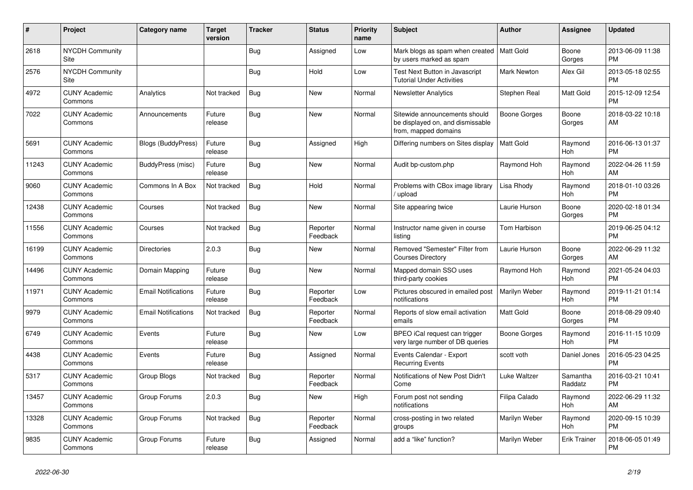| #     | Project                         | <b>Category name</b>       | <b>Target</b><br>version | <b>Tracker</b> | <b>Status</b>        | <b>Priority</b><br>name | <b>Subject</b>                                                                            | <b>Author</b>       | <b>Assignee</b>       | <b>Updated</b>                |
|-------|---------------------------------|----------------------------|--------------------------|----------------|----------------------|-------------------------|-------------------------------------------------------------------------------------------|---------------------|-----------------------|-------------------------------|
| 2618  | <b>NYCDH Community</b><br>Site  |                            |                          | Bug            | Assigned             | Low                     | Mark blogs as spam when created<br>by users marked as spam                                | Matt Gold           | Boone<br>Gorges       | 2013-06-09 11:38<br><b>PM</b> |
| 2576  | <b>NYCDH Community</b><br>Site  |                            |                          | Bug            | Hold                 | Low                     | Test Next Button in Javascript<br><b>Tutorial Under Activities</b>                        | <b>Mark Newton</b>  | Alex Gil              | 2013-05-18 02:55<br><b>PM</b> |
| 4972  | <b>CUNY Academic</b><br>Commons | Analytics                  | Not tracked              | Bug            | <b>New</b>           | Normal                  | <b>Newsletter Analytics</b>                                                               | Stephen Real        | <b>Matt Gold</b>      | 2015-12-09 12:54<br><b>PM</b> |
| 7022  | <b>CUNY Academic</b><br>Commons | Announcements              | Future<br>release        | Bug            | <b>New</b>           | Normal                  | Sitewide announcements should<br>be displayed on, and dismissable<br>from, mapped domains | <b>Boone Gorges</b> | Boone<br>Gorges       | 2018-03-22 10:18<br>AM        |
| 5691  | <b>CUNY Academic</b><br>Commons | <b>Blogs (BuddyPress)</b>  | Future<br>release        | Bug            | Assigned             | High                    | Differing numbers on Sites display                                                        | <b>Matt Gold</b>    | Raymond<br>Hoh        | 2016-06-13 01:37<br><b>PM</b> |
| 11243 | <b>CUNY Academic</b><br>Commons | BuddyPress (misc)          | Future<br>release        | Bug            | <b>New</b>           | Normal                  | Audit bp-custom.php                                                                       | Ravmond Hoh         | Raymond<br>Hoh        | 2022-04-26 11:59<br>AM        |
| 9060  | <b>CUNY Academic</b><br>Commons | Commons In A Box           | Not tracked              | <b>Bug</b>     | Hold                 | Normal                  | Problems with CBox image library<br>/ upload                                              | Lisa Rhody          | Raymond<br>Hoh        | 2018-01-10 03:26<br><b>PM</b> |
| 12438 | <b>CUNY Academic</b><br>Commons | Courses                    | Not tracked              | <b>Bug</b>     | <b>New</b>           | Normal                  | Site appearing twice                                                                      | Laurie Hurson       | Boone<br>Gorges       | 2020-02-18 01:34<br><b>PM</b> |
| 11556 | <b>CUNY Academic</b><br>Commons | Courses                    | Not tracked              | Bug            | Reporter<br>Feedback | Normal                  | Instructor name given in course<br>listing                                                | Tom Harbison        |                       | 2019-06-25 04:12<br><b>PM</b> |
| 16199 | <b>CUNY Academic</b><br>Commons | <b>Directories</b>         | 2.0.3                    | Bug            | <b>New</b>           | Normal                  | Removed "Semester" Filter from<br><b>Courses Directory</b>                                | Laurie Hurson       | Boone<br>Gorges       | 2022-06-29 11:32<br>AM        |
| 14496 | <b>CUNY Academic</b><br>Commons | Domain Mapping             | Future<br>release        | Bug            | <b>New</b>           | Normal                  | Mapped domain SSO uses<br>third-party cookies                                             | Raymond Hoh         | Raymond<br><b>Hoh</b> | 2021-05-24 04:03<br><b>PM</b> |
| 11971 | <b>CUNY Academic</b><br>Commons | <b>Email Notifications</b> | Future<br>release        | Bug            | Reporter<br>Feedback | Low                     | Pictures obscured in emailed post<br>notifications                                        | Marilyn Weber       | Raymond<br>Hoh        | 2019-11-21 01:14<br><b>PM</b> |
| 9979  | <b>CUNY Academic</b><br>Commons | <b>Email Notifications</b> | Not tracked              | <b>Bug</b>     | Reporter<br>Feedback | Normal                  | Reports of slow email activation<br>emails                                                | Matt Gold           | Boone<br>Gorges       | 2018-08-29 09:40<br><b>PM</b> |
| 6749  | <b>CUNY Academic</b><br>Commons | Events                     | Future<br>release        | Bug            | <b>New</b>           | Low                     | BPEO iCal request can trigger<br>very large number of DB queries                          | <b>Boone Gorges</b> | Raymond<br>Hoh        | 2016-11-15 10:09<br><b>PM</b> |
| 4438  | <b>CUNY Academic</b><br>Commons | Events                     | Future<br>release        | Bug            | Assigned             | Normal                  | Events Calendar - Export<br><b>Recurring Events</b>                                       | scott voth          | Daniel Jones          | 2016-05-23 04:25<br><b>PM</b> |
| 5317  | <b>CUNY Academic</b><br>Commons | Group Blogs                | Not tracked              | <b>Bug</b>     | Reporter<br>Feedback | Normal                  | Notifications of New Post Didn't<br>Come                                                  | Luke Waltzer        | Samantha<br>Raddatz   | 2016-03-21 10:41<br><b>PM</b> |
| 13457 | <b>CUNY Academic</b><br>Commons | Group Forums               | 2.0.3                    | Bug            | <b>New</b>           | High                    | Forum post not sending<br>notifications                                                   | Filipa Calado       | Raymond<br>Hoh        | 2022-06-29 11:32<br>AM        |
| 13328 | <b>CUNY Academic</b><br>Commons | Group Forums               | Not tracked              | Bug            | Reporter<br>Feedback | Normal                  | cross-posting in two related<br>groups                                                    | Marilyn Weber       | Raymond<br>Hoh        | 2020-09-15 10:39<br><b>PM</b> |
| 9835  | <b>CUNY Academic</b><br>Commons | Group Forums               | Future<br>release        | <b>Bug</b>     | Assigned             | Normal                  | add a "like" function?                                                                    | Marilyn Weber       | <b>Erik Trainer</b>   | 2018-06-05 01:49<br><b>PM</b> |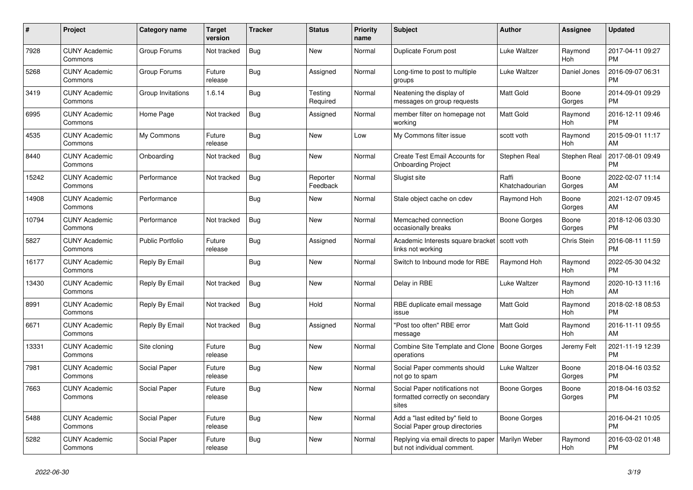| $\pmb{\#}$ | Project                         | <b>Category name</b>    | <b>Target</b><br>version | <b>Tracker</b> | <b>Status</b>        | <b>Priority</b><br>name | <b>Subject</b>                                                              | <b>Author</b>           | Assignee        | <b>Updated</b>                |
|------------|---------------------------------|-------------------------|--------------------------|----------------|----------------------|-------------------------|-----------------------------------------------------------------------------|-------------------------|-----------------|-------------------------------|
| 7928       | <b>CUNY Academic</b><br>Commons | Group Forums            | Not tracked              | <b>Bug</b>     | New                  | Normal                  | Duplicate Forum post                                                        | Luke Waltzer            | Raymond<br>Hoh  | 2017-04-11 09:27<br><b>PM</b> |
| 5268       | <b>CUNY Academic</b><br>Commons | Group Forums            | Future<br>release        | Bug            | Assigned             | Normal                  | Long-time to post to multiple<br>groups                                     | Luke Waltzer            | Daniel Jones    | 2016-09-07 06:31<br><b>PM</b> |
| 3419       | <b>CUNY Academic</b><br>Commons | Group Invitations       | 1.6.14                   | <b>Bug</b>     | Testing<br>Required  | Normal                  | Neatening the display of<br>messages on group requests                      | Matt Gold               | Boone<br>Gorges | 2014-09-01 09:29<br><b>PM</b> |
| 6995       | <b>CUNY Academic</b><br>Commons | Home Page               | Not tracked              | Bug            | Assigned             | Normal                  | member filter on homepage not<br>working                                    | Matt Gold               | Raymond<br>Hoh  | 2016-12-11 09:46<br><b>PM</b> |
| 4535       | <b>CUNY Academic</b><br>Commons | My Commons              | Future<br>release        | Bug            | New                  | Low                     | My Commons filter issue                                                     | scott voth              | Raymond<br>Hoh  | 2015-09-01 11:17<br>AM        |
| 8440       | <b>CUNY Academic</b><br>Commons | Onboarding              | Not tracked              | Bug            | New                  | Normal                  | Create Test Email Accounts for<br><b>Onboarding Project</b>                 | Stephen Real            | Stephen Real    | 2017-08-01 09:49<br><b>PM</b> |
| 15242      | <b>CUNY Academic</b><br>Commons | Performance             | Not tracked              | Bug            | Reporter<br>Feedback | Normal                  | Slugist site                                                                | Raffi<br>Khatchadourian | Boone<br>Gorges | 2022-02-07 11:14<br>AM        |
| 14908      | <b>CUNY Academic</b><br>Commons | Performance             |                          | <b>Bug</b>     | <b>New</b>           | Normal                  | Stale object cache on cdev                                                  | Raymond Hoh             | Boone<br>Gorges | 2021-12-07 09:45<br>AM        |
| 10794      | <b>CUNY Academic</b><br>Commons | Performance             | Not tracked              | <b>Bug</b>     | New                  | Normal                  | Memcached connection<br>occasionally breaks                                 | Boone Gorges            | Boone<br>Gorges | 2018-12-06 03:30<br><b>PM</b> |
| 5827       | <b>CUNY Academic</b><br>Commons | <b>Public Portfolio</b> | Future<br>release        | Bug            | Assigned             | Normal                  | Academic Interests square bracket<br>links not working                      | scott voth              | Chris Stein     | 2016-08-11 11:59<br><b>PM</b> |
| 16177      | <b>CUNY Academic</b><br>Commons | Reply By Email          |                          | Bug            | <b>New</b>           | Normal                  | Switch to Inbound mode for RBE                                              | Raymond Hoh             | Raymond<br>Hoh  | 2022-05-30 04:32<br><b>PM</b> |
| 13430      | <b>CUNY Academic</b><br>Commons | Reply By Email          | Not tracked              | Bug            | New                  | Normal                  | Delay in RBE                                                                | Luke Waltzer            | Raymond<br>Hoh  | 2020-10-13 11:16<br>AM        |
| 8991       | <b>CUNY Academic</b><br>Commons | Reply By Email          | Not tracked              | Bug            | Hold                 | Normal                  | RBE duplicate email message<br>issue                                        | Matt Gold               | Raymond<br>Hoh  | 2018-02-18 08:53<br><b>PM</b> |
| 6671       | <b>CUNY Academic</b><br>Commons | Reply By Email          | Not tracked              | <b>Bug</b>     | Assigned             | Normal                  | "Post too often" RBE error<br>message                                       | Matt Gold               | Raymond<br>Hoh  | 2016-11-11 09:55<br>AM        |
| 13331      | <b>CUNY Academic</b><br>Commons | Site cloning            | Future<br>release        | Bug            | New                  | Normal                  | Combine Site Template and Clone<br>operations                               | <b>Boone Gorges</b>     | Jeremy Felt     | 2021-11-19 12:39<br><b>PM</b> |
| 7981       | <b>CUNY Academic</b><br>Commons | Social Paper            | Future<br>release        | <b>Bug</b>     | New                  | Normal                  | Social Paper comments should<br>not go to spam                              | Luke Waltzer            | Boone<br>Gorges | 2018-04-16 03:52<br><b>PM</b> |
| 7663       | <b>CUNY Academic</b><br>Commons | Social Paper            | Future<br>release        | Bug            | <b>New</b>           | Normal                  | Social Paper notifications not<br>formatted correctly on secondary<br>sites | <b>Boone Gorges</b>     | Boone<br>Gorges | 2018-04-16 03:52<br><b>PM</b> |
| 5488       | <b>CUNY Academic</b><br>Commons | Social Paper            | Future<br>release        | <b>Bug</b>     | New                  | Normal                  | Add a "last edited by" field to<br>Social Paper group directories           | Boone Gorges            |                 | 2016-04-21 10:05<br><b>PM</b> |
| 5282       | <b>CUNY Academic</b><br>Commons | Social Paper            | Future<br>release        | <b>Bug</b>     | New                  | Normal                  | Replying via email directs to paper<br>but not individual comment.          | Marilyn Weber           | Raymond<br>Hoh  | 2016-03-02 01:48<br><b>PM</b> |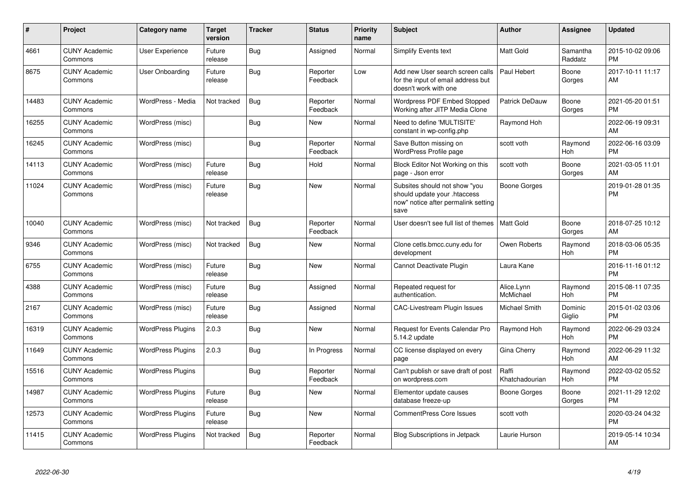| $\#$  | Project                         | Category name            | <b>Target</b><br>version | <b>Tracker</b> | <b>Status</b>        | <b>Priority</b><br>name | <b>Subject</b>                                                                                               | Author                  | Assignee              | <b>Updated</b>                |
|-------|---------------------------------|--------------------------|--------------------------|----------------|----------------------|-------------------------|--------------------------------------------------------------------------------------------------------------|-------------------------|-----------------------|-------------------------------|
| 4661  | <b>CUNY Academic</b><br>Commons | User Experience          | Future<br>release        | Bug            | Assigned             | Normal                  | <b>Simplify Events text</b>                                                                                  | <b>Matt Gold</b>        | Samantha<br>Raddatz   | 2015-10-02 09:06<br><b>PM</b> |
| 8675  | <b>CUNY Academic</b><br>Commons | User Onboarding          | Future<br>release        | Bug            | Reporter<br>Feedback | Low                     | Add new User search screen calls<br>for the input of email address but<br>doesn't work with one              | Paul Hebert             | Boone<br>Gorges       | 2017-10-11 11:17<br>AM        |
| 14483 | <b>CUNY Academic</b><br>Commons | WordPress - Media        | Not tracked              | <b>Bug</b>     | Reporter<br>Feedback | Normal                  | Wordpress PDF Embed Stopped<br>Working after JITP Media Clone                                                | Patrick DeDauw          | Boone<br>Gorges       | 2021-05-20 01:51<br><b>PM</b> |
| 16255 | <b>CUNY Academic</b><br>Commons | WordPress (misc)         |                          | Bug            | <b>New</b>           | Normal                  | Need to define 'MULTISITE'<br>constant in wp-config.php                                                      | Raymond Hoh             |                       | 2022-06-19 09:31<br>AM        |
| 16245 | <b>CUNY Academic</b><br>Commons | WordPress (misc)         |                          | Bug            | Reporter<br>Feedback | Normal                  | Save Button missing on<br>WordPress Profile page                                                             | scott voth              | Raymond<br>Hoh        | 2022-06-16 03:09<br><b>PM</b> |
| 14113 | <b>CUNY Academic</b><br>Commons | WordPress (misc)         | Future<br>release        | Bug            | Hold                 | Normal                  | Block Editor Not Working on this<br>page - Json error                                                        | scott voth              | Boone<br>Gorges       | 2021-03-05 11:01<br>AM        |
| 11024 | <b>CUNY Academic</b><br>Commons | WordPress (misc)         | Future<br>release        | Bug            | <b>New</b>           | Normal                  | Subsites should not show "you<br>should update your .htaccess<br>now" notice after permalink setting<br>save | <b>Boone Gorges</b>     |                       | 2019-01-28 01:35<br><b>PM</b> |
| 10040 | <b>CUNY Academic</b><br>Commons | WordPress (misc)         | Not tracked              | Bug            | Reporter<br>Feedback | Normal                  | User doesn't see full list of themes                                                                         | <b>Matt Gold</b>        | Boone<br>Gorges       | 2018-07-25 10:12<br>AM        |
| 9346  | <b>CUNY Academic</b><br>Commons | WordPress (misc)         | Not tracked              | <b>Bug</b>     | <b>New</b>           | Normal                  | Clone cetls.bmcc.cuny.edu for<br>development                                                                 | Owen Roberts            | Raymond<br>Hoh        | 2018-03-06 05:35<br><b>PM</b> |
| 6755  | <b>CUNY Academic</b><br>Commons | WordPress (misc)         | Future<br>release        | Bug            | <b>New</b>           | Normal                  | Cannot Deactivate Plugin                                                                                     | Laura Kane              |                       | 2016-11-16 01:12<br><b>PM</b> |
| 4388  | <b>CUNY Academic</b><br>Commons | WordPress (misc)         | Future<br>release        | Bug            | Assigned             | Normal                  | Repeated request for<br>authentication.                                                                      | Alice.Lynn<br>McMichael | Raymond<br>Hoh        | 2015-08-11 07:35<br><b>PM</b> |
| 2167  | <b>CUNY Academic</b><br>Commons | WordPress (misc)         | Future<br>release        | <b>Bug</b>     | Assigned             | Normal                  | CAC-Livestream Plugin Issues                                                                                 | Michael Smith           | Dominic<br>Giglio     | 2015-01-02 03:06<br><b>PM</b> |
| 16319 | <b>CUNY Academic</b><br>Commons | <b>WordPress Plugins</b> | 2.0.3                    | Bug            | New                  | Normal                  | Request for Events Calendar Pro<br>5.14.2 update                                                             | Raymond Hoh             | Raymond<br>Hoh        | 2022-06-29 03:24<br><b>PM</b> |
| 11649 | <b>CUNY Academic</b><br>Commons | <b>WordPress Plugins</b> | 2.0.3                    | Bug            | In Progress          | Normal                  | CC license displayed on every<br>page                                                                        | Gina Cherry             | Raymond<br><b>Hoh</b> | 2022-06-29 11:32<br>AM        |
| 15516 | <b>CUNY Academic</b><br>Commons | <b>WordPress Plugins</b> |                          | Bug            | Reporter<br>Feedback | Normal                  | Can't publish or save draft of post<br>on wordpress.com                                                      | Raffi<br>Khatchadourian | Raymond<br>Hoh        | 2022-03-02 05:52<br><b>PM</b> |
| 14987 | <b>CUNY Academic</b><br>Commons | <b>WordPress Plugins</b> | Future<br>release        | <b>Bug</b>     | <b>New</b>           | Normal                  | Elementor update causes<br>database freeze-up                                                                | <b>Boone Gorges</b>     | Boone<br>Gorges       | 2021-11-29 12:02<br><b>PM</b> |
| 12573 | <b>CUNY Academic</b><br>Commons | <b>WordPress Plugins</b> | Future<br>release        | Bug            | <b>New</b>           | Normal                  | <b>CommentPress Core Issues</b>                                                                              | scott voth              |                       | 2020-03-24 04:32<br><b>PM</b> |
| 11415 | <b>CUNY Academic</b><br>Commons | <b>WordPress Plugins</b> | Not tracked              | <b>Bug</b>     | Reporter<br>Feedback | Normal                  | <b>Blog Subscriptions in Jetpack</b>                                                                         | Laurie Hurson           |                       | 2019-05-14 10:34<br>AM        |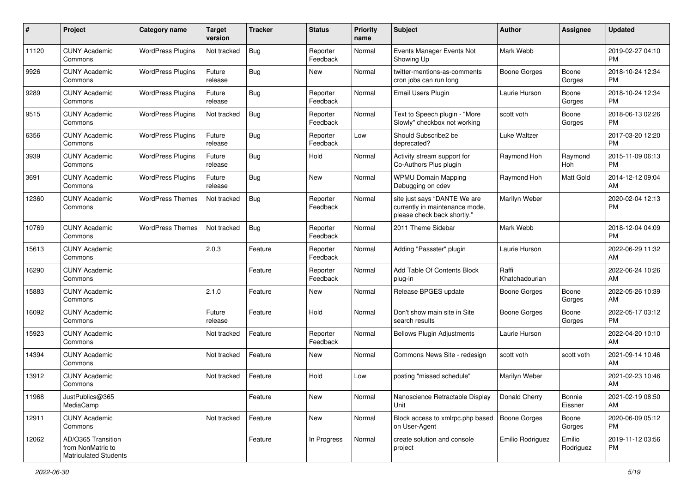| #     | Project                                                                 | <b>Category name</b>     | <b>Target</b><br>version | <b>Tracker</b> | <b>Status</b>        | Priority<br>name | <b>Subject</b>                                                                                | Author                  | <b>Assignee</b>     | <b>Updated</b>                |
|-------|-------------------------------------------------------------------------|--------------------------|--------------------------|----------------|----------------------|------------------|-----------------------------------------------------------------------------------------------|-------------------------|---------------------|-------------------------------|
| 11120 | <b>CUNY Academic</b><br>Commons                                         | <b>WordPress Plugins</b> | Not tracked              | <b>Bug</b>     | Reporter<br>Feedback | Normal           | Events Manager Events Not<br>Showing Up                                                       | Mark Webb               |                     | 2019-02-27 04:10<br>PM.       |
| 9926  | <b>CUNY Academic</b><br>Commons                                         | <b>WordPress Plugins</b> | Future<br>release        | <b>Bug</b>     | New                  | Normal           | twitter-mentions-as-comments<br>cron jobs can run long                                        | <b>Boone Gorges</b>     | Boone<br>Gorges     | 2018-10-24 12:34<br><b>PM</b> |
| 9289  | <b>CUNY Academic</b><br>Commons                                         | <b>WordPress Plugins</b> | Future<br>release        | <b>Bug</b>     | Reporter<br>Feedback | Normal           | Email Users Plugin                                                                            | Laurie Hurson           | Boone<br>Gorges     | 2018-10-24 12:34<br><b>PM</b> |
| 9515  | <b>CUNY Academic</b><br>Commons                                         | <b>WordPress Plugins</b> | Not tracked              | Bug            | Reporter<br>Feedback | Normal           | Text to Speech plugin - "More<br>Slowly" checkbox not working                                 | scott voth              | Boone<br>Gorges     | 2018-06-13 02:26<br><b>PM</b> |
| 6356  | <b>CUNY Academic</b><br>Commons                                         | <b>WordPress Plugins</b> | Future<br>release        | Bug            | Reporter<br>Feedback | Low              | Should Subscribe2 be<br>deprecated?                                                           | Luke Waltzer            |                     | 2017-03-20 12:20<br><b>PM</b> |
| 3939  | <b>CUNY Academic</b><br>Commons                                         | <b>WordPress Plugins</b> | Future<br>release        | Bug            | Hold                 | Normal           | Activity stream support for<br>Co-Authors Plus plugin                                         | Raymond Hoh             | Raymond<br>Hoh      | 2015-11-09 06:13<br><b>PM</b> |
| 3691  | <b>CUNY Academic</b><br>Commons                                         | <b>WordPress Plugins</b> | Future<br>release        | Bug            | <b>New</b>           | Normal           | <b>WPMU Domain Mapping</b><br>Debugging on cdev                                               | Raymond Hoh             | Matt Gold           | 2014-12-12 09:04<br>AM        |
| 12360 | <b>CUNY Academic</b><br>Commons                                         | <b>WordPress Themes</b>  | Not tracked              | <b>Bug</b>     | Reporter<br>Feedback | Normal           | site just says "DANTE We are<br>currently in maintenance mode,<br>please check back shortly." | Marilyn Weber           |                     | 2020-02-04 12:13<br><b>PM</b> |
| 10769 | <b>CUNY Academic</b><br>Commons                                         | <b>WordPress Themes</b>  | Not tracked              | Bug            | Reporter<br>Feedback | Normal           | 2011 Theme Sidebar                                                                            | Mark Webb               |                     | 2018-12-04 04:09<br><b>PM</b> |
| 15613 | <b>CUNY Academic</b><br>Commons                                         |                          | 2.0.3                    | Feature        | Reporter<br>Feedback | Normal           | Adding "Passster" plugin                                                                      | Laurie Hurson           |                     | 2022-06-29 11:32<br>AM        |
| 16290 | <b>CUNY Academic</b><br>Commons                                         |                          |                          | Feature        | Reporter<br>Feedback | Normal           | Add Table Of Contents Block<br>plug-in                                                        | Raffi<br>Khatchadourian |                     | 2022-06-24 10:26<br>AM        |
| 15883 | <b>CUNY Academic</b><br>Commons                                         |                          | 2.1.0                    | Feature        | New                  | Normal           | Release BPGES update                                                                          | Boone Gorges            | Boone<br>Gorges     | 2022-05-26 10:39<br>AM        |
| 16092 | <b>CUNY Academic</b><br>Commons                                         |                          | Future<br>release        | Feature        | Hold                 | Normal           | Don't show main site in Site<br>search results                                                | Boone Gorges            | Boone<br>Gorges     | 2022-05-17 03:12<br><b>PM</b> |
| 15923 | <b>CUNY Academic</b><br>Commons                                         |                          | Not tracked              | Feature        | Reporter<br>Feedback | Normal           | <b>Bellows Plugin Adjustments</b>                                                             | Laurie Hurson           |                     | 2022-04-20 10:10<br>AM        |
| 14394 | <b>CUNY Academic</b><br>Commons                                         |                          | Not tracked              | Feature        | New                  | Normal           | Commons News Site - redesign                                                                  | scott voth              | scott voth          | 2021-09-14 10:46<br>AM        |
| 13912 | <b>CUNY Academic</b><br>Commons                                         |                          | Not tracked              | Feature        | Hold                 | Low              | posting "missed schedule"                                                                     | Marilyn Weber           |                     | 2021-02-23 10:46<br>AM        |
| 11968 | JustPublics@365<br>MediaCamp                                            |                          |                          | Feature        | New                  | Normal           | Nanoscience Retractable Display<br>Unit                                                       | Donald Cherry           | Bonnie<br>Eissner   | 2021-02-19 08:50<br>AM        |
| 12911 | <b>CUNY Academic</b><br>Commons                                         |                          | Not tracked              | Feature        | New                  | Normal           | Block access to xmlrpc.php based<br>on User-Agent                                             | Boone Gorges            | Boone<br>Gorges     | 2020-06-09 05:12<br><b>PM</b> |
| 12062 | AD/O365 Transition<br>from NonMatric to<br><b>Matriculated Students</b> |                          |                          | Feature        | In Progress          | Normal           | create solution and console<br>project                                                        | Emilio Rodriguez        | Emilio<br>Rodriguez | 2019-11-12 03:56<br><b>PM</b> |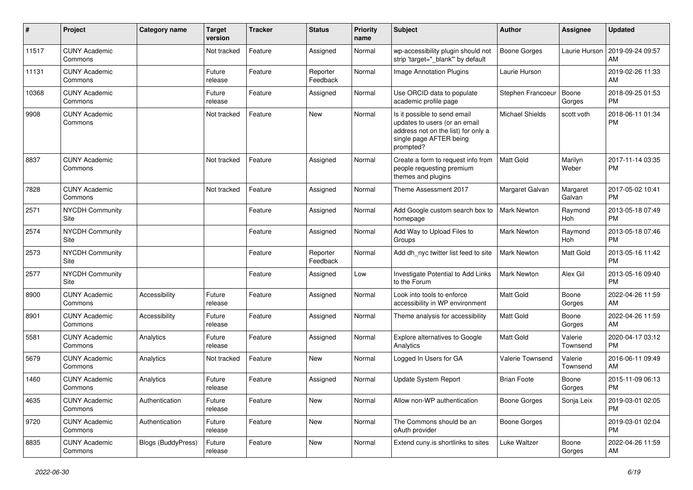| #     | Project                         | Category name             | <b>Target</b><br>version | Tracker | <b>Status</b>        | <b>Priority</b><br>name | <b>Subject</b>                                                                                                                               | Author                 | Assignee            | <b>Updated</b>                |
|-------|---------------------------------|---------------------------|--------------------------|---------|----------------------|-------------------------|----------------------------------------------------------------------------------------------------------------------------------------------|------------------------|---------------------|-------------------------------|
| 11517 | <b>CUNY Academic</b><br>Commons |                           | Not tracked              | Feature | Assigned             | Normal                  | wp-accessibility plugin should not<br>strip 'target=" blank" by default                                                                      | <b>Boone Gorges</b>    | Laurie Hurson       | 2019-09-24 09:57<br>AM        |
| 11131 | <b>CUNY Academic</b><br>Commons |                           | Future<br>release        | Feature | Reporter<br>Feedback | Normal                  | Image Annotation Plugins                                                                                                                     | Laurie Hurson          |                     | 2019-02-26 11:33<br>AM        |
| 10368 | <b>CUNY Academic</b><br>Commons |                           | Future<br>release        | Feature | Assigned             | Normal                  | Use ORCID data to populate<br>academic profile page                                                                                          | Stephen Francoeur      | Boone<br>Gorges     | 2018-09-25 01:53<br><b>PM</b> |
| 9908  | <b>CUNY Academic</b><br>Commons |                           | Not tracked              | Feature | <b>New</b>           | Normal                  | Is it possible to send email<br>updates to users (or an email<br>address not on the list) for only a<br>single page AFTER being<br>prompted? | <b>Michael Shields</b> | scott voth          | 2018-06-11 01:34<br><b>PM</b> |
| 8837  | <b>CUNY Academic</b><br>Commons |                           | Not tracked              | Feature | Assigned             | Normal                  | Create a form to request info from<br>people requesting premium<br>themes and plugins                                                        | Matt Gold              | Marilyn<br>Weber    | 2017-11-14 03:35<br><b>PM</b> |
| 7828  | <b>CUNY Academic</b><br>Commons |                           | Not tracked              | Feature | Assigned             | Normal                  | Theme Assessment 2017                                                                                                                        | Margaret Galvan        | Margaret<br>Galvan  | 2017-05-02 10:41<br><b>PM</b> |
| 2571  | <b>NYCDH Community</b><br>Site  |                           |                          | Feature | Assigned             | Normal                  | Add Google custom search box to<br>homepage                                                                                                  | <b>Mark Newton</b>     | Raymond<br>Hoh      | 2013-05-18 07:49<br><b>PM</b> |
| 2574  | <b>NYCDH Community</b><br>Site  |                           |                          | Feature | Assigned             | Normal                  | Add Way to Upload Files to<br>Groups                                                                                                         | <b>Mark Newton</b>     | Raymond<br>Hoh      | 2013-05-18 07:46<br><b>PM</b> |
| 2573  | <b>NYCDH Community</b><br>Site  |                           |                          | Feature | Reporter<br>Feedback | Normal                  | Add dh_nyc twitter list feed to site                                                                                                         | <b>Mark Newton</b>     | Matt Gold           | 2013-05-16 11:42<br><b>PM</b> |
| 2577  | <b>NYCDH Community</b><br>Site  |                           |                          | Feature | Assigned             | Low                     | Investigate Potential to Add Links<br>to the Forum                                                                                           | <b>Mark Newton</b>     | Alex Gil            | 2013-05-16 09:40<br><b>PM</b> |
| 8900  | <b>CUNY Academic</b><br>Commons | Accessibility             | Future<br>release        | Feature | Assigned             | Normal                  | Look into tools to enforce<br>accessibility in WP environment                                                                                | Matt Gold              | Boone<br>Gorges     | 2022-04-26 11:59<br>AM        |
| 8901  | <b>CUNY Academic</b><br>Commons | Accessibility             | Future<br>release        | Feature | Assigned             | Normal                  | Theme analysis for accessibility                                                                                                             | Matt Gold              | Boone<br>Gorges     | 2022-04-26 11:59<br>AM        |
| 5581  | <b>CUNY Academic</b><br>Commons | Analytics                 | Future<br>release        | Feature | Assigned             | Normal                  | Explore alternatives to Google<br>Analytics                                                                                                  | Matt Gold              | Valerie<br>Townsend | 2020-04-17 03:12<br><b>PM</b> |
| 5679  | <b>CUNY Academic</b><br>Commons | Analytics                 | Not tracked              | Feature | <b>New</b>           | Normal                  | Logged In Users for GA                                                                                                                       | Valerie Townsend       | Valerie<br>Townsend | 2016-06-11 09:49<br>AM        |
| 1460  | <b>CUNY Academic</b><br>Commons | Analytics                 | Future<br>release        | Feature | Assigned             | Normal                  | <b>Update System Report</b>                                                                                                                  | <b>Brian Foote</b>     | Boone<br>Gorges     | 2015-11-09 06:13<br><b>PM</b> |
| 4635  | <b>CUNY Academic</b><br>Commons | Authentication            | Future<br>release        | Feature | New                  | Normal                  | Allow non-WP authentication                                                                                                                  | <b>Boone Gorges</b>    | Sonja Leix          | 2019-03-01 02:05<br><b>PM</b> |
| 9720  | <b>CUNY Academic</b><br>Commons | Authentication            | Future<br>release        | Feature | New                  | Normal                  | The Commons should be an<br>oAuth provider                                                                                                   | <b>Boone Gorges</b>    |                     | 2019-03-01 02:04<br><b>PM</b> |
| 8835  | <b>CUNY Academic</b><br>Commons | <b>Blogs (BuddyPress)</b> | Future<br>release        | Feature | New                  | Normal                  | Extend cuny.is shortlinks to sites                                                                                                           | Luke Waltzer           | Boone<br>Gorges     | 2022-04-26 11:59<br>AM        |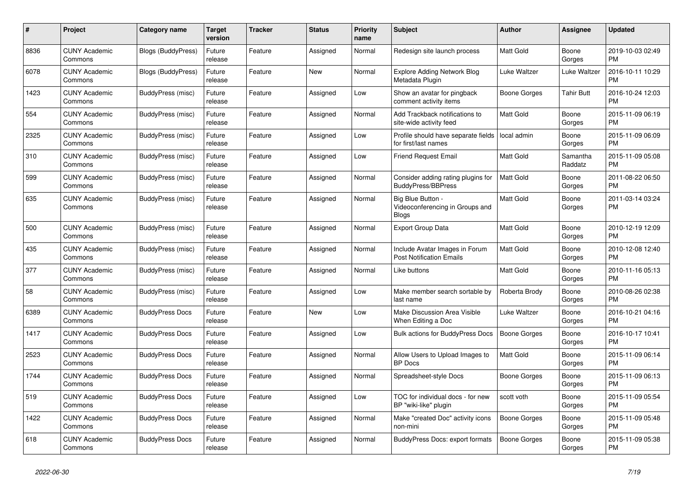| #    | Project                         | <b>Category name</b>      | <b>Target</b><br>version | <b>Tracker</b> | <b>Status</b> | Priority<br>name | <b>Subject</b>                                                       | <b>Author</b>    | <b>Assignee</b>     | <b>Updated</b>                |
|------|---------------------------------|---------------------------|--------------------------|----------------|---------------|------------------|----------------------------------------------------------------------|------------------|---------------------|-------------------------------|
| 8836 | <b>CUNY Academic</b><br>Commons | <b>Blogs (BuddyPress)</b> | Future<br>release        | Feature        | Assigned      | Normal           | Redesign site launch process                                         | Matt Gold        | Boone<br>Gorges     | 2019-10-03 02:49<br><b>PM</b> |
| 6078 | <b>CUNY Academic</b><br>Commons | <b>Blogs (BuddyPress)</b> | Future<br>release        | Feature        | New           | Normal           | <b>Explore Adding Network Blog</b><br>Metadata Plugin                | Luke Waltzer     | Luke Waltzer        | 2016-10-11 10:29<br><b>PM</b> |
| 1423 | <b>CUNY Academic</b><br>Commons | BuddyPress (misc)         | Future<br>release        | Feature        | Assigned      | Low              | Show an avatar for pingback<br>comment activity items                | Boone Gorges     | <b>Tahir Butt</b>   | 2016-10-24 12:03<br><b>PM</b> |
| 554  | <b>CUNY Academic</b><br>Commons | <b>BuddyPress (misc)</b>  | Future<br>release        | Feature        | Assigned      | Normal           | Add Trackback notifications to<br>site-wide activity feed            | Matt Gold        | Boone<br>Gorges     | 2015-11-09 06:19<br><b>PM</b> |
| 2325 | <b>CUNY Academic</b><br>Commons | BuddyPress (misc)         | Future<br>release        | Feature        | Assigned      | Low              | Profile should have separate fields<br>for first/last names          | local admin      | Boone<br>Gorges     | 2015-11-09 06:09<br><b>PM</b> |
| 310  | <b>CUNY Academic</b><br>Commons | BuddyPress (misc)         | Future<br>release        | Feature        | Assigned      | Low              | <b>Friend Request Email</b>                                          | <b>Matt Gold</b> | Samantha<br>Raddatz | 2015-11-09 05:08<br><b>PM</b> |
| 599  | <b>CUNY Academic</b><br>Commons | BuddyPress (misc)         | Future<br>release        | Feature        | Assigned      | Normal           | Consider adding rating plugins for<br><b>BuddyPress/BBPress</b>      | <b>Matt Gold</b> | Boone<br>Gorges     | 2011-08-22 06:50<br><b>PM</b> |
| 635  | <b>CUNY Academic</b><br>Commons | BuddyPress (misc)         | Future<br>release        | Feature        | Assigned      | Normal           | Big Blue Button -<br>Videoconferencing in Groups and<br><b>Blogs</b> | <b>Matt Gold</b> | Boone<br>Gorges     | 2011-03-14 03:24<br><b>PM</b> |
| 500  | <b>CUNY Academic</b><br>Commons | <b>BuddyPress (misc)</b>  | Future<br>release        | Feature        | Assigned      | Normal           | <b>Export Group Data</b>                                             | <b>Matt Gold</b> | Boone<br>Gorges     | 2010-12-19 12:09<br><b>PM</b> |
| 435  | <b>CUNY Academic</b><br>Commons | BuddyPress (misc)         | Future<br>release        | Feature        | Assigned      | Normal           | Include Avatar Images in Forum<br><b>Post Notification Emails</b>    | <b>Matt Gold</b> | Boone<br>Gorges     | 2010-12-08 12:40<br><b>PM</b> |
| 377  | <b>CUNY Academic</b><br>Commons | BuddyPress (misc)         | Future<br>release        | Feature        | Assigned      | Normal           | Like buttons                                                         | Matt Gold        | Boone<br>Gorges     | 2010-11-16 05:13<br><b>PM</b> |
| 58   | <b>CUNY Academic</b><br>Commons | BuddyPress (misc)         | Future<br>release        | Feature        | Assigned      | Low              | Make member search sortable by<br>last name                          | Roberta Brody    | Boone<br>Gorges     | 2010-08-26 02:38<br><b>PM</b> |
| 6389 | <b>CUNY Academic</b><br>Commons | <b>BuddyPress Docs</b>    | Future<br>release        | Feature        | <b>New</b>    | Low              | <b>Make Discussion Area Visible</b><br>When Editing a Doc            | Luke Waltzer     | Boone<br>Gorges     | 2016-10-21 04:16<br><b>PM</b> |
| 1417 | <b>CUNY Academic</b><br>Commons | <b>BuddyPress Docs</b>    | Future<br>release        | Feature        | Assigned      | Low              | <b>Bulk actions for BuddyPress Docs</b>                              | Boone Gorges     | Boone<br>Gorges     | 2016-10-17 10:41<br><b>PM</b> |
| 2523 | <b>CUNY Academic</b><br>Commons | <b>BuddyPress Docs</b>    | Future<br>release        | Feature        | Assigned      | Normal           | Allow Users to Upload Images to<br><b>BP</b> Docs                    | <b>Matt Gold</b> | Boone<br>Gorges     | 2015-11-09 06:14<br><b>PM</b> |
| 1744 | <b>CUNY Academic</b><br>Commons | <b>BuddyPress Docs</b>    | Future<br>release        | Feature        | Assigned      | Normal           | Spreadsheet-style Docs                                               | Boone Gorges     | Boone<br>Gorges     | 2015-11-09 06:13<br><b>PM</b> |
| 519  | <b>CUNY Academic</b><br>Commons | <b>BuddyPress Docs</b>    | Future<br>release        | Feature        | Assigned      | Low              | TOC for individual docs - for new<br>BP "wiki-like" plugin           | scott voth       | Boone<br>Gorges     | 2015-11-09 05:54<br><b>PM</b> |
| 1422 | <b>CUNY Academic</b><br>Commons | <b>BuddyPress Docs</b>    | Future<br>release        | Feature        | Assigned      | Normal           | Make "created Doc" activity icons<br>non-mini                        | Boone Gorges     | Boone<br>Gorges     | 2015-11-09 05:48<br><b>PM</b> |
| 618  | <b>CUNY Academic</b><br>Commons | <b>BuddyPress Docs</b>    | Future<br>release        | Feature        | Assigned      | Normal           | <b>BuddyPress Docs: export formats</b>                               | Boone Gorges     | Boone<br>Gorges     | 2015-11-09 05:38<br><b>PM</b> |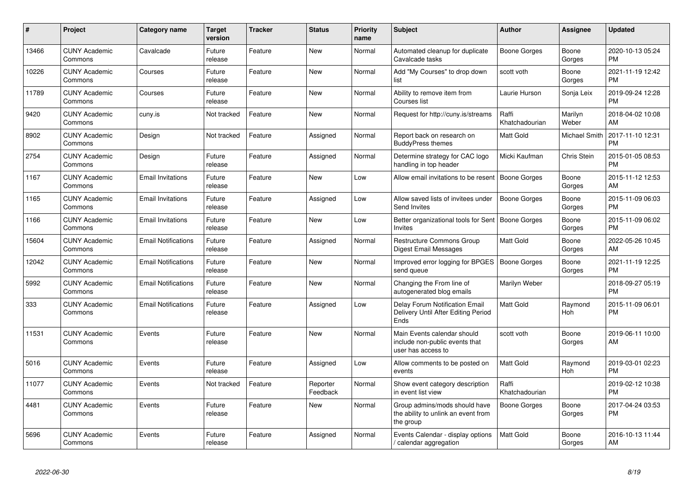| #     | <b>Project</b>                  | Category name              | <b>Target</b><br>version | <b>Tracker</b> | <b>Status</b>        | <b>Priority</b><br>name | <b>Subject</b>                                                                      | <b>Author</b>           | Assignee           | <b>Updated</b>                |
|-------|---------------------------------|----------------------------|--------------------------|----------------|----------------------|-------------------------|-------------------------------------------------------------------------------------|-------------------------|--------------------|-------------------------------|
| 13466 | <b>CUNY Academic</b><br>Commons | Cavalcade                  | Future<br>release        | Feature        | <b>New</b>           | Normal                  | Automated cleanup for duplicate<br>Cavalcade tasks                                  | Boone Gorges            | Boone<br>Gorges    | 2020-10-13 05:24<br><b>PM</b> |
| 10226 | <b>CUNY Academic</b><br>Commons | Courses                    | Future<br>release        | Feature        | <b>New</b>           | Normal                  | Add "My Courses" to drop down<br>list                                               | scott voth              | Boone<br>Gorges    | 2021-11-19 12:42<br><b>PM</b> |
| 11789 | <b>CUNY Academic</b><br>Commons | Courses                    | Future<br>release        | Feature        | <b>New</b>           | Normal                  | Ability to remove item from<br>Courses list                                         | Laurie Hurson           | Sonja Leix         | 2019-09-24 12:28<br><b>PM</b> |
| 9420  | <b>CUNY Academic</b><br>Commons | cuny.is                    | Not tracked              | Feature        | New                  | Normal                  | Request for http://cuny.is/streams                                                  | Raffi<br>Khatchadourian | Marilyn<br>Weber   | 2018-04-02 10:08<br>AM        |
| 8902  | <b>CUNY Academic</b><br>Commons | Design                     | Not tracked              | Feature        | Assigned             | Normal                  | Report back on research on<br><b>BuddyPress themes</b>                              | <b>Matt Gold</b>        | Michael Smith      | 2017-11-10 12:31<br><b>PM</b> |
| 2754  | <b>CUNY Academic</b><br>Commons | Design                     | Future<br>release        | Feature        | Assigned             | Normal                  | Determine strategy for CAC logo<br>handling in top header                           | Micki Kaufman           | <b>Chris Stein</b> | 2015-01-05 08:53<br><b>PM</b> |
| 1167  | <b>CUNY Academic</b><br>Commons | <b>Email Invitations</b>   | Future<br>release        | Feature        | <b>New</b>           | Low                     | Allow email invitations to be resent                                                | <b>Boone Gorges</b>     | Boone<br>Gorges    | 2015-11-12 12:53<br>AM        |
| 1165  | <b>CUNY Academic</b><br>Commons | <b>Email Invitations</b>   | Future<br>release        | Feature        | Assigned             | Low                     | Allow saved lists of invitees under<br><b>Send Invites</b>                          | <b>Boone Gorges</b>     | Boone<br>Gorges    | 2015-11-09 06:03<br><b>PM</b> |
| 1166  | <b>CUNY Academic</b><br>Commons | <b>Email Invitations</b>   | Future<br>release        | Feature        | New                  | Low                     | Better organizational tools for Sent<br>Invites                                     | Boone Gorges            | Boone<br>Gorges    | 2015-11-09 06:02<br><b>PM</b> |
| 15604 | <b>CUNY Academic</b><br>Commons | <b>Email Notifications</b> | Future<br>release        | Feature        | Assigned             | Normal                  | Restructure Commons Group<br>Digest Email Messages                                  | <b>Matt Gold</b>        | Boone<br>Gorges    | 2022-05-26 10:45<br>AM        |
| 12042 | <b>CUNY Academic</b><br>Commons | <b>Email Notifications</b> | Future<br>release        | Feature        | New                  | Normal                  | Improved error logging for BPGES<br>send queue                                      | Boone Gorges            | Boone<br>Gorges    | 2021-11-19 12:25<br><b>PM</b> |
| 5992  | <b>CUNY Academic</b><br>Commons | <b>Email Notifications</b> | Future<br>release        | Feature        | New                  | Normal                  | Changing the From line of<br>autogenerated blog emails                              | Marilyn Weber           |                    | 2018-09-27 05:19<br><b>PM</b> |
| 333   | <b>CUNY Academic</b><br>Commons | <b>Email Notifications</b> | Future<br>release        | Feature        | Assigned             | Low                     | Delay Forum Notification Email<br>Delivery Until After Editing Period<br>Ends       | <b>Matt Gold</b>        | Raymond<br>Hoh     | 2015-11-09 06:01<br><b>PM</b> |
| 11531 | <b>CUNY Academic</b><br>Commons | Events                     | Future<br>release        | Feature        | <b>New</b>           | Normal                  | Main Events calendar should<br>include non-public events that<br>user has access to | scott voth              | Boone<br>Gorges    | 2019-06-11 10:00<br>AM        |
| 5016  | <b>CUNY Academic</b><br>Commons | Events                     | Future<br>release        | Feature        | Assigned             | Low                     | Allow comments to be posted on<br>events                                            | <b>Matt Gold</b>        | Raymond<br>Hoh     | 2019-03-01 02:23<br><b>PM</b> |
| 11077 | <b>CUNY Academic</b><br>Commons | Events                     | Not tracked              | Feature        | Reporter<br>Feedback | Normal                  | Show event category description<br>in event list view                               | Raffi<br>Khatchadourian |                    | 2019-02-12 10:38<br><b>PM</b> |
| 4481  | <b>CUNY Academic</b><br>Commons | Events                     | Future<br>release        | Feature        | <b>New</b>           | Normal                  | Group admins/mods should have<br>the ability to unlink an event from<br>the group   | Boone Gorges            | Boone<br>Gorges    | 2017-04-24 03:53<br><b>PM</b> |
| 5696  | <b>CUNY Academic</b><br>Commons | Events                     | Future<br>release        | Feature        | Assigned             | Normal                  | Events Calendar - display options<br>calendar aggregation                           | <b>Matt Gold</b>        | Boone<br>Gorges    | 2016-10-13 11:44<br>AM        |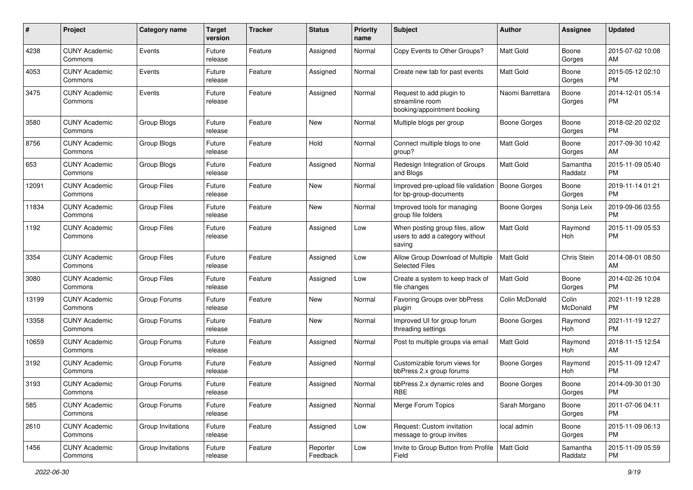| #     | Project                         | <b>Category name</b> | <b>Target</b><br>version | <b>Tracker</b> | <b>Status</b>        | Priority<br>name | <b>Subject</b>                                                               | <b>Author</b>       | <b>Assignee</b>       | <b>Updated</b>                |
|-------|---------------------------------|----------------------|--------------------------|----------------|----------------------|------------------|------------------------------------------------------------------------------|---------------------|-----------------------|-------------------------------|
| 4238  | <b>CUNY Academic</b><br>Commons | Events               | Future<br>release        | Feature        | Assigned             | Normal           | Copy Events to Other Groups?                                                 | <b>Matt Gold</b>    | Boone<br>Gorges       | 2015-07-02 10:08<br>AM.       |
| 4053  | <b>CUNY Academic</b><br>Commons | Events               | Future<br>release        | Feature        | Assigned             | Normal           | Create new tab for past events                                               | <b>Matt Gold</b>    | Boone<br>Gorges       | 2015-05-12 02:10<br><b>PM</b> |
| 3475  | <b>CUNY Academic</b><br>Commons | Events               | Future<br>release        | Feature        | Assigned             | Normal           | Request to add plugin to<br>streamline room<br>booking/appointment booking   | Naomi Barrettara    | Boone<br>Gorges       | 2014-12-01 05:14<br><b>PM</b> |
| 3580  | <b>CUNY Academic</b><br>Commons | Group Blogs          | Future<br>release        | Feature        | New                  | Normal           | Multiple blogs per group                                                     | <b>Boone Gorges</b> | Boone<br>Gorges       | 2018-02-20 02:02<br>PM.       |
| 8756  | <b>CUNY Academic</b><br>Commons | Group Blogs          | Future<br>release        | Feature        | Hold                 | Normal           | Connect multiple blogs to one<br>group?                                      | <b>Matt Gold</b>    | Boone<br>Gorges       | 2017-09-30 10:42<br>AM        |
| 653   | <b>CUNY Academic</b><br>Commons | Group Blogs          | Future<br>release        | Feature        | Assigned             | Normal           | Redesign Integration of Groups<br>and Blogs                                  | <b>Matt Gold</b>    | Samantha<br>Raddatz   | 2015-11-09 05:40<br><b>PM</b> |
| 12091 | <b>CUNY Academic</b><br>Commons | <b>Group Files</b>   | Future<br>release        | Feature        | New                  | Normal           | Improved pre-upload file validation<br>for bp-group-documents                | Boone Gorges        | Boone<br>Gorges       | 2019-11-14 01:21<br><b>PM</b> |
| 11834 | <b>CUNY Academic</b><br>Commons | <b>Group Files</b>   | Future<br>release        | Feature        | New                  | Normal           | Improved tools for managing<br>group file folders                            | Boone Gorges        | Sonja Leix            | 2019-09-06 03:55<br><b>PM</b> |
| 1192  | <b>CUNY Academic</b><br>Commons | <b>Group Files</b>   | Future<br>release        | Feature        | Assigned             | Low              | When posting group files, allow<br>users to add a category without<br>saving | Matt Gold           | Raymond<br>Hoh        | 2015-11-09 05:53<br>PM        |
| 3354  | <b>CUNY Academic</b><br>Commons | <b>Group Files</b>   | Future<br>release        | Feature        | Assigned             | Low              | Allow Group Download of Multiple<br><b>Selected Files</b>                    | Matt Gold           | Chris Stein           | 2014-08-01 08:50<br>AM        |
| 3080  | <b>CUNY Academic</b><br>Commons | <b>Group Files</b>   | Future<br>release        | Feature        | Assigned             | Low              | Create a system to keep track of<br>file changes                             | Matt Gold           | Boone<br>Gorges       | 2014-02-26 10:04<br><b>PM</b> |
| 13199 | <b>CUNY Academic</b><br>Commons | Group Forums         | Future<br>release        | Feature        | New                  | Normal           | Favoring Groups over bbPress<br>plugin                                       | Colin McDonald      | Colin<br>McDonald     | 2021-11-19 12:28<br>PM.       |
| 13358 | <b>CUNY Academic</b><br>Commons | Group Forums         | Future<br>release        | Feature        | New                  | Normal           | Improved UI for group forum<br>threading settings                            | Boone Gorges        | Raymond<br>Hoh        | 2021-11-19 12:27<br><b>PM</b> |
| 10659 | <b>CUNY Academic</b><br>Commons | Group Forums         | Future<br>release        | Feature        | Assigned             | Normal           | Post to multiple groups via email                                            | Matt Gold           | Raymond<br><b>Hoh</b> | 2018-11-15 12:54<br>AM        |
| 3192  | <b>CUNY Academic</b><br>Commons | Group Forums         | Future<br>release        | Feature        | Assigned             | Normal           | Customizable forum views for<br>bbPress 2.x group forums                     | Boone Gorges        | Raymond<br>Hoh        | 2015-11-09 12:47<br><b>PM</b> |
| 3193  | <b>CUNY Academic</b><br>Commons | Group Forums         | Future<br>release        | Feature        | Assigned             | Normal           | bbPress 2.x dynamic roles and<br>RBE                                         | Boone Gorges        | Boone<br>Gorges       | 2014-09-30 01:30<br><b>PM</b> |
| 585   | <b>CUNY Academic</b><br>Commons | Group Forums         | Future<br>release        | Feature        | Assigned             | Normal           | Merge Forum Topics                                                           | Sarah Morgano       | Boone<br>Gorges       | 2011-07-06 04:11<br>PM.       |
| 2610  | <b>CUNY Academic</b><br>Commons | Group Invitations    | Future<br>release        | Feature        | Assigned             | Low              | Request: Custom invitation<br>message to group invites                       | local admin         | Boone<br>Gorges       | 2015-11-09 06:13<br><b>PM</b> |
| 1456  | <b>CUNY Academic</b><br>Commons | Group Invitations    | Future<br>release        | Feature        | Reporter<br>Feedback | Low              | Invite to Group Button from Profile<br>Field                                 | Matt Gold           | Samantha<br>Raddatz   | 2015-11-09 05:59<br><b>PM</b> |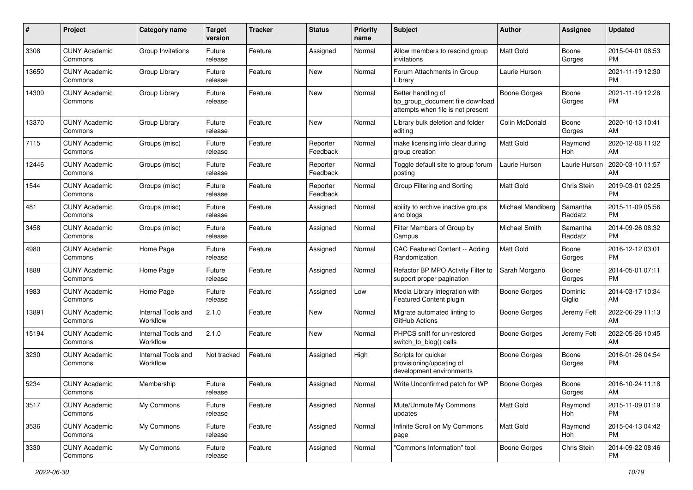| #     | Project                         | <b>Category name</b>           | <b>Target</b><br>version | <b>Tracker</b> | <b>Status</b>        | <b>Priority</b><br>name | Subject                                                                                    | <b>Author</b>            | Assignee            | <b>Updated</b>                |
|-------|---------------------------------|--------------------------------|--------------------------|----------------|----------------------|-------------------------|--------------------------------------------------------------------------------------------|--------------------------|---------------------|-------------------------------|
| 3308  | <b>CUNY Academic</b><br>Commons | Group Invitations              | Future<br>release        | Feature        | Assigned             | Normal                  | Allow members to rescind group<br>invitations                                              | Matt Gold                | Boone<br>Gorges     | 2015-04-01 08:53<br><b>PM</b> |
| 13650 | <b>CUNY Academic</b><br>Commons | Group Library                  | Future<br>release        | Feature        | New                  | Normal                  | Forum Attachments in Group<br>Library                                                      | Laurie Hurson            |                     | 2021-11-19 12:30<br><b>PM</b> |
| 14309 | <b>CUNY Academic</b><br>Commons | Group Library                  | Future<br>release        | Feature        | New                  | Normal                  | Better handling of<br>bp_group_document file download<br>attempts when file is not present | <b>Boone Gorges</b>      | Boone<br>Gorges     | 2021-11-19 12:28<br><b>PM</b> |
| 13370 | <b>CUNY Academic</b><br>Commons | Group Library                  | Future<br>release        | Feature        | New                  | Normal                  | Library bulk deletion and folder<br>editing                                                | Colin McDonald           | Boone<br>Gorges     | 2020-10-13 10:41<br>AM        |
| 7115  | <b>CUNY Academic</b><br>Commons | Groups (misc)                  | Future<br>release        | Feature        | Reporter<br>Feedback | Normal                  | make licensing info clear during<br>group creation                                         | Matt Gold                | Raymond<br>Hoh      | 2020-12-08 11:32<br>AM        |
| 12446 | <b>CUNY Academic</b><br>Commons | Groups (misc)                  | Future<br>release        | Feature        | Reporter<br>Feedback | Normal                  | Toggle default site to group forum<br>posting                                              | Laurie Hurson            | Laurie Hurson       | 2020-03-10 11:57<br>AM        |
| 1544  | <b>CUNY Academic</b><br>Commons | Groups (misc)                  | Future<br>release        | Feature        | Reporter<br>Feedback | Normal                  | Group Filtering and Sorting                                                                | Matt Gold                | Chris Stein         | 2019-03-01 02:25<br><b>PM</b> |
| 481   | <b>CUNY Academic</b><br>Commons | Groups (misc)                  | Future<br>release        | Feature        | Assigned             | Normal                  | ability to archive inactive groups<br>and blogs                                            | <b>Michael Mandiberg</b> | Samantha<br>Raddatz | 2015-11-09 05:56<br><b>PM</b> |
| 3458  | <b>CUNY Academic</b><br>Commons | Groups (misc)                  | Future<br>release        | Feature        | Assigned             | Normal                  | Filter Members of Group by<br>Campus                                                       | <b>Michael Smith</b>     | Samantha<br>Raddatz | 2014-09-26 08:32<br>PM        |
| 4980  | <b>CUNY Academic</b><br>Commons | Home Page                      | Future<br>release        | Feature        | Assigned             | Normal                  | CAC Featured Content -- Adding<br>Randomization                                            | <b>Matt Gold</b>         | Boone<br>Gorges     | 2016-12-12 03:01<br><b>PM</b> |
| 1888  | <b>CUNY Academic</b><br>Commons | Home Page                      | Future<br>release        | Feature        | Assigned             | Normal                  | Refactor BP MPO Activity Filter to<br>support proper pagination                            | Sarah Morgano            | Boone<br>Gorges     | 2014-05-01 07:11<br><b>PM</b> |
| 1983  | <b>CUNY Academic</b><br>Commons | Home Page                      | Future<br>release        | Feature        | Assigned             | Low                     | Media Library integration with<br>Featured Content plugin                                  | <b>Boone Gorges</b>      | Dominic<br>Giglio   | 2014-03-17 10:34<br>AM        |
| 13891 | <b>CUNY Academic</b><br>Commons | Internal Tools and<br>Workflow | 2.1.0                    | Feature        | New                  | Normal                  | Migrate automated linting to<br>GitHub Actions                                             | Boone Gorges             | Jeremy Felt         | 2022-06-29 11:13<br>AM        |
| 15194 | <b>CUNY Academic</b><br>Commons | Internal Tools and<br>Workflow | 2.1.0                    | Feature        | New                  | Normal                  | PHPCS sniff for un-restored<br>switch_to_blog() calls                                      | Boone Gorges             | Jeremy Felt         | 2022-05-26 10:45<br><b>AM</b> |
| 3230  | <b>CUNY Academic</b><br>Commons | Internal Tools and<br>Workflow | Not tracked              | Feature        | Assigned             | High                    | Scripts for quicker<br>provisioning/updating of<br>development environments                | Boone Gorges             | Boone<br>Gorges     | 2016-01-26 04:54<br><b>PM</b> |
| 5234  | <b>CUNY Academic</b><br>Commons | Membership                     | Future<br>release        | Feature        | Assigned             | Normal                  | Write Unconfirmed patch for WP                                                             | <b>Boone Gorges</b>      | Boone<br>Gorges     | 2016-10-24 11:18<br>AM        |
| 3517  | <b>CUNY Academic</b><br>Commons | My Commons                     | Future<br>release        | Feature        | Assigned             | Normal                  | Mute/Unmute My Commons<br>updates                                                          | Matt Gold                | Raymond<br>Hoh      | 2015-11-09 01:19<br><b>PM</b> |
| 3536  | <b>CUNY Academic</b><br>Commons | My Commons                     | Future<br>release        | Feature        | Assigned             | Normal                  | Infinite Scroll on My Commons<br>page                                                      | <b>Matt Gold</b>         | Raymond<br>Hoh      | 2015-04-13 04:42<br><b>PM</b> |
| 3330  | <b>CUNY Academic</b><br>Commons | My Commons                     | Future<br>release        | Feature        | Assigned             | Normal                  | "Commons Information" tool                                                                 | Boone Gorges             | Chris Stein         | 2014-09-22 08:46<br>PM        |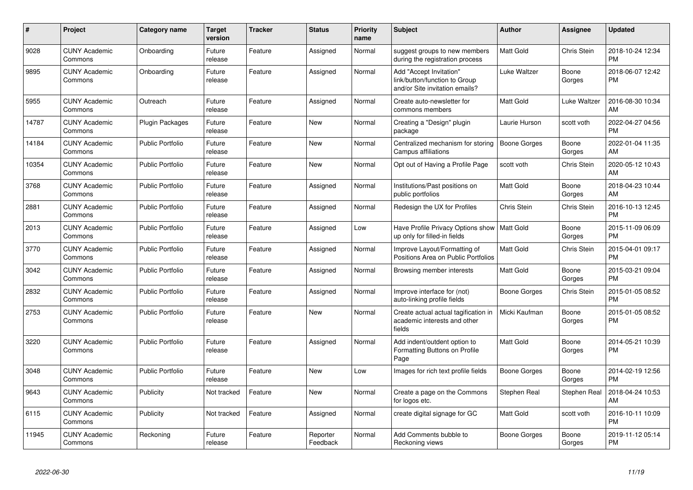| #     | <b>Project</b>                  | Category name           | <b>Target</b><br>version | <b>Tracker</b> | <b>Status</b>        | <b>Priority</b><br>name | <b>Subject</b>                                                                             | <b>Author</b>    | Assignee           | <b>Updated</b>                |
|-------|---------------------------------|-------------------------|--------------------------|----------------|----------------------|-------------------------|--------------------------------------------------------------------------------------------|------------------|--------------------|-------------------------------|
| 9028  | <b>CUNY Academic</b><br>Commons | Onboarding              | Future<br>release        | Feature        | Assigned             | Normal                  | suggest groups to new members<br>during the registration process                           | <b>Matt Gold</b> | <b>Chris Stein</b> | 2018-10-24 12:34<br><b>PM</b> |
| 9895  | <b>CUNY Academic</b><br>Commons | Onboarding              | Future<br>release        | Feature        | Assigned             | Normal                  | Add "Accept Invitation"<br>link/button/function to Group<br>and/or Site invitation emails? | Luke Waltzer     | Boone<br>Gorges    | 2018-06-07 12:42<br><b>PM</b> |
| 5955  | <b>CUNY Academic</b><br>Commons | Outreach                | Future<br>release        | Feature        | Assigned             | Normal                  | Create auto-newsletter for<br>commons members                                              | <b>Matt Gold</b> | Luke Waltzer       | 2016-08-30 10:34<br>AM        |
| 14787 | <b>CUNY Academic</b><br>Commons | <b>Plugin Packages</b>  | Future<br>release        | Feature        | New                  | Normal                  | Creating a "Design" plugin<br>package                                                      | Laurie Hurson    | scott voth         | 2022-04-27 04:56<br><b>PM</b> |
| 14184 | <b>CUNY Academic</b><br>Commons | <b>Public Portfolio</b> | Future<br>release        | Feature        | New                  | Normal                  | Centralized mechanism for storing<br>Campus affiliations                                   | Boone Gorges     | Boone<br>Gorges    | 2022-01-04 11:35<br>AM        |
| 10354 | <b>CUNY Academic</b><br>Commons | <b>Public Portfolio</b> | Future<br>release        | Feature        | New                  | Normal                  | Opt out of Having a Profile Page                                                           | scott voth       | <b>Chris Stein</b> | 2020-05-12 10:43<br>AM        |
| 3768  | <b>CUNY Academic</b><br>Commons | <b>Public Portfolio</b> | Future<br>release        | Feature        | Assigned             | Normal                  | Institutions/Past positions on<br>public portfolios                                        | <b>Matt Gold</b> | Boone<br>Gorges    | 2018-04-23 10:44<br>AM        |
| 2881  | <b>CUNY Academic</b><br>Commons | <b>Public Portfolio</b> | Future<br>release        | Feature        | Assigned             | Normal                  | Redesign the UX for Profiles                                                               | Chris Stein      | <b>Chris Stein</b> | 2016-10-13 12:45<br><b>PM</b> |
| 2013  | <b>CUNY Academic</b><br>Commons | <b>Public Portfolio</b> | Future<br>release        | Feature        | Assigned             | Low                     | Have Profile Privacy Options show   Matt Gold<br>up only for filled-in fields              |                  | Boone<br>Gorges    | 2015-11-09 06:09<br><b>PM</b> |
| 3770  | <b>CUNY Academic</b><br>Commons | Public Portfolio        | Future<br>release        | Feature        | Assigned             | Normal                  | Improve Layout/Formatting of<br>Positions Area on Public Portfolios                        | <b>Matt Gold</b> | Chris Stein        | 2015-04-01 09:17<br><b>PM</b> |
| 3042  | <b>CUNY Academic</b><br>Commons | <b>Public Portfolio</b> | Future<br>release        | Feature        | Assigned             | Normal                  | Browsing member interests                                                                  | <b>Matt Gold</b> | Boone<br>Gorges    | 2015-03-21 09:04<br><b>PM</b> |
| 2832  | <b>CUNY Academic</b><br>Commons | <b>Public Portfolio</b> | Future<br>release        | Feature        | Assigned             | Normal                  | Improve interface for (not)<br>auto-linking profile fields                                 | Boone Gorges     | Chris Stein        | 2015-01-05 08:52<br><b>PM</b> |
| 2753  | <b>CUNY Academic</b><br>Commons | <b>Public Portfolio</b> | Future<br>release        | Feature        | <b>New</b>           | Normal                  | Create actual actual tagification in<br>academic interests and other<br>fields             | Micki Kaufman    | Boone<br>Gorges    | 2015-01-05 08:52<br><b>PM</b> |
| 3220  | <b>CUNY Academic</b><br>Commons | <b>Public Portfolio</b> | Future<br>release        | Feature        | Assigned             | Normal                  | Add indent/outdent option to<br>Formatting Buttons on Profile<br>Page                      | <b>Matt Gold</b> | Boone<br>Gorges    | 2014-05-21 10:39<br><b>PM</b> |
| 3048  | <b>CUNY Academic</b><br>Commons | <b>Public Portfolio</b> | Future<br>release        | Feature        | New                  | Low                     | Images for rich text profile fields                                                        | Boone Gorges     | Boone<br>Gorges    | 2014-02-19 12:56<br><b>PM</b> |
| 9643  | <b>CUNY Academic</b><br>Commons | Publicity               | Not tracked              | Feature        | New                  | Normal                  | Create a page on the Commons<br>for logos etc.                                             | Stephen Real     | Stephen Real       | 2018-04-24 10:53<br>AM        |
| 6115  | <b>CUNY Academic</b><br>Commons | Publicity               | Not tracked              | Feature        | Assigned             | Normal                  | create digital signage for GC                                                              | <b>Matt Gold</b> | scott voth         | 2016-10-11 10:09<br><b>PM</b> |
| 11945 | <b>CUNY Academic</b><br>Commons | Reckoning               | Future<br>release        | Feature        | Reporter<br>Feedback | Normal                  | Add Comments bubble to<br>Reckoning views                                                  | Boone Gorges     | Boone<br>Gorges    | 2019-11-12 05:14<br><b>PM</b> |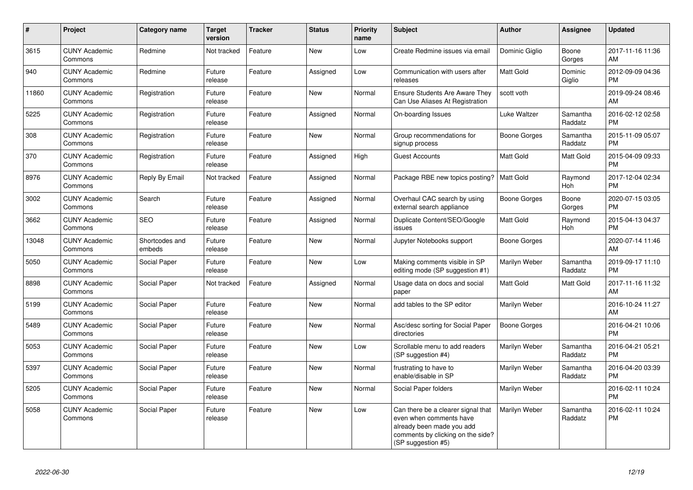| $\pmb{\#}$ | Project                         | Category name            | <b>Target</b><br>version | <b>Tracker</b> | <b>Status</b> | <b>Priority</b><br>name | <b>Subject</b>                                                                                                                                        | <b>Author</b>       | Assignee              | <b>Updated</b>                |
|------------|---------------------------------|--------------------------|--------------------------|----------------|---------------|-------------------------|-------------------------------------------------------------------------------------------------------------------------------------------------------|---------------------|-----------------------|-------------------------------|
| 3615       | <b>CUNY Academic</b><br>Commons | Redmine                  | Not tracked              | Feature        | <b>New</b>    | Low                     | Create Redmine issues via email                                                                                                                       | Dominic Giglio      | Boone<br>Gorges       | 2017-11-16 11:36<br>AM        |
| 940        | <b>CUNY Academic</b><br>Commons | Redmine                  | Future<br>release        | Feature        | Assigned      | Low                     | Communication with users after<br>releases                                                                                                            | Matt Gold           | Dominic<br>Giglio     | 2012-09-09 04:36<br><b>PM</b> |
| 11860      | <b>CUNY Academic</b><br>Commons | Registration             | Future<br>release        | Feature        | <b>New</b>    | Normal                  | <b>Ensure Students Are Aware They</b><br>Can Use Aliases At Registration                                                                              | scott voth          |                       | 2019-09-24 08:46<br>AM        |
| 5225       | <b>CUNY Academic</b><br>Commons | Registration             | Future<br>release        | Feature        | Assigned      | Normal                  | On-boarding Issues                                                                                                                                    | Luke Waltzer        | Samantha<br>Raddatz   | 2016-02-12 02:58<br><b>PM</b> |
| 308        | <b>CUNY Academic</b><br>Commons | Registration             | Future<br>release        | Feature        | <b>New</b>    | Normal                  | Group recommendations for<br>signup process                                                                                                           | <b>Boone Gorges</b> | Samantha<br>Raddatz   | 2015-11-09 05:07<br><b>PM</b> |
| 370        | <b>CUNY Academic</b><br>Commons | Registration             | Future<br>release        | Feature        | Assigned      | High                    | <b>Guest Accounts</b>                                                                                                                                 | Matt Gold           | Matt Gold             | 2015-04-09 09:33<br><b>PM</b> |
| 8976       | <b>CUNY Academic</b><br>Commons | Reply By Email           | Not tracked              | Feature        | Assigned      | Normal                  | Package RBE new topics posting?                                                                                                                       | <b>Matt Gold</b>    | Raymond<br><b>Hoh</b> | 2017-12-04 02:34<br><b>PM</b> |
| 3002       | <b>CUNY Academic</b><br>Commons | Search                   | Future<br>release        | Feature        | Assigned      | Normal                  | Overhaul CAC search by using<br>external search appliance                                                                                             | Boone Gorges        | Boone<br>Gorges       | 2020-07-15 03:05<br><b>PM</b> |
| 3662       | <b>CUNY Academic</b><br>Commons | <b>SEO</b>               | Future<br>release        | Feature        | Assigned      | Normal                  | Duplicate Content/SEO/Google<br>issues                                                                                                                | Matt Gold           | Raymond<br>Hoh        | 2015-04-13 04:37<br><b>PM</b> |
| 13048      | <b>CUNY Academic</b><br>Commons | Shortcodes and<br>embeds | Future<br>release        | Feature        | <b>New</b>    | Normal                  | Jupyter Notebooks support                                                                                                                             | Boone Gorges        |                       | 2020-07-14 11:46<br>AM        |
| 5050       | <b>CUNY Academic</b><br>Commons | Social Paper             | Future<br>release        | Feature        | <b>New</b>    | Low                     | Making comments visible in SP<br>editing mode (SP suggestion #1)                                                                                      | Marilyn Weber       | Samantha<br>Raddatz   | 2019-09-17 11:10<br><b>PM</b> |
| 8898       | <b>CUNY Academic</b><br>Commons | Social Paper             | Not tracked              | Feature        | Assigned      | Normal                  | Usage data on docs and social<br>paper                                                                                                                | Matt Gold           | Matt Gold             | 2017-11-16 11:32<br>AM        |
| 5199       | <b>CUNY Academic</b><br>Commons | Social Paper             | Future<br>release        | Feature        | <b>New</b>    | Normal                  | add tables to the SP editor                                                                                                                           | Marilyn Weber       |                       | 2016-10-24 11:27<br>AM        |
| 5489       | <b>CUNY Academic</b><br>Commons | Social Paper             | Future<br>release        | Feature        | New           | Normal                  | Asc/desc sorting for Social Paper<br>directories                                                                                                      | <b>Boone Gorges</b> |                       | 2016-04-21 10:06<br><b>PM</b> |
| 5053       | <b>CUNY Academic</b><br>Commons | Social Paper             | Future<br>release        | Feature        | New           | Low                     | Scrollable menu to add readers<br>(SP suggestion #4)                                                                                                  | Marilyn Weber       | Samantha<br>Raddatz   | 2016-04-21 05:21<br><b>PM</b> |
| 5397       | <b>CUNY Academic</b><br>Commons | Social Paper             | Future<br>release        | Feature        | New           | Normal                  | frustrating to have to<br>enable/disable in SP                                                                                                        | Marilyn Weber       | Samantha<br>Raddatz   | 2016-04-20 03:39<br><b>PM</b> |
| 5205       | <b>CUNY Academic</b><br>Commons | Social Paper             | Future<br>release        | Feature        | New           | Normal                  | Social Paper folders                                                                                                                                  | Marilyn Weber       |                       | 2016-02-11 10:24<br><b>PM</b> |
| 5058       | <b>CUNY Academic</b><br>Commons | Social Paper             | Future<br>release        | Feature        | <b>New</b>    | Low                     | Can there be a clearer signal that<br>even when comments have<br>already been made you add<br>comments by clicking on the side?<br>(SP suggestion #5) | Marilyn Weber       | Samantha<br>Raddatz   | 2016-02-11 10:24<br><b>PM</b> |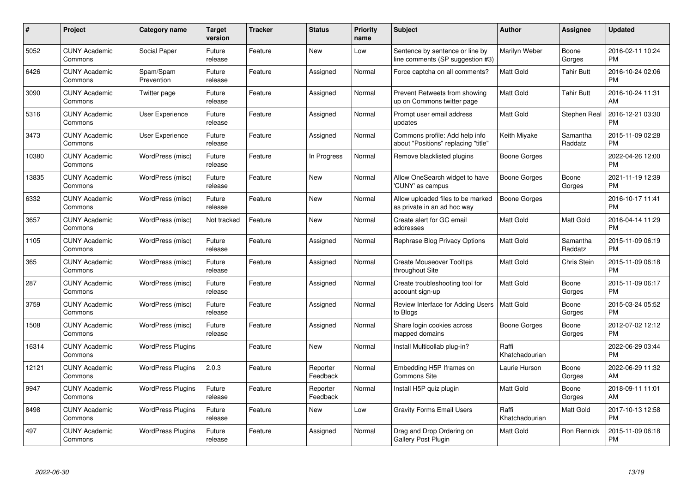| $\#$  | Project                         | Category name            | <b>Target</b><br>version | Tracker | <b>Status</b>        | <b>Priority</b><br>name | <b>Subject</b>                                                        | <b>Author</b>           | Assignee            | <b>Updated</b>                |
|-------|---------------------------------|--------------------------|--------------------------|---------|----------------------|-------------------------|-----------------------------------------------------------------------|-------------------------|---------------------|-------------------------------|
| 5052  | <b>CUNY Academic</b><br>Commons | Social Paper             | Future<br>release        | Feature | <b>New</b>           | Low                     | Sentence by sentence or line by<br>line comments (SP suggestion #3)   | Marilyn Weber           | Boone<br>Gorges     | 2016-02-11 10:24<br><b>PM</b> |
| 6426  | <b>CUNY Academic</b><br>Commons | Spam/Spam<br>Prevention  | Future<br>release        | Feature | Assigned             | Normal                  | Force captcha on all comments?                                        | <b>Matt Gold</b>        | <b>Tahir Butt</b>   | 2016-10-24 02:06<br><b>PM</b> |
| 3090  | <b>CUNY Academic</b><br>Commons | Twitter page             | Future<br>release        | Feature | Assigned             | Normal                  | Prevent Retweets from showing<br>up on Commons twitter page           | <b>Matt Gold</b>        | <b>Tahir Butt</b>   | 2016-10-24 11:31<br>AM        |
| 5316  | <b>CUNY Academic</b><br>Commons | User Experience          | Future<br>release        | Feature | Assigned             | Normal                  | Prompt user email address<br>updates                                  | Matt Gold               | Stephen Real        | 2016-12-21 03:30<br><b>PM</b> |
| 3473  | <b>CUNY Academic</b><br>Commons | <b>User Experience</b>   | Future<br>release        | Feature | Assigned             | Normal                  | Commons profile: Add help info<br>about "Positions" replacing "title" | Keith Miyake            | Samantha<br>Raddatz | 2015-11-09 02:28<br><b>PM</b> |
| 10380 | <b>CUNY Academic</b><br>Commons | WordPress (misc)         | Future<br>release        | Feature | In Progress          | Normal                  | Remove blacklisted plugins                                            | Boone Gorges            |                     | 2022-04-26 12:00<br><b>PM</b> |
| 13835 | <b>CUNY Academic</b><br>Commons | WordPress (misc)         | Future<br>release        | Feature | New                  | Normal                  | Allow OneSearch widget to have<br>'CUNY' as campus                    | Boone Gorges            | Boone<br>Gorges     | 2021-11-19 12:39<br><b>PM</b> |
| 6332  | <b>CUNY Academic</b><br>Commons | WordPress (misc)         | Future<br>release        | Feature | <b>New</b>           | Normal                  | Allow uploaded files to be marked<br>as private in an ad hoc way      | Boone Gorges            |                     | 2016-10-17 11:41<br><b>PM</b> |
| 3657  | <b>CUNY Academic</b><br>Commons | WordPress (misc)         | Not tracked              | Feature | <b>New</b>           | Normal                  | Create alert for GC email<br>addresses                                | <b>Matt Gold</b>        | <b>Matt Gold</b>    | 2016-04-14 11:29<br><b>PM</b> |
| 1105  | <b>CUNY Academic</b><br>Commons | WordPress (misc)         | Future<br>release        | Feature | Assigned             | Normal                  | Rephrase Blog Privacy Options                                         | Matt Gold               | Samantha<br>Raddatz | 2015-11-09 06:19<br><b>PM</b> |
| 365   | <b>CUNY Academic</b><br>Commons | WordPress (misc)         | Future<br>release        | Feature | Assigned             | Normal                  | <b>Create Mouseover Tooltips</b><br>throughout Site                   | Matt Gold               | Chris Stein         | 2015-11-09 06:18<br><b>PM</b> |
| 287   | <b>CUNY Academic</b><br>Commons | WordPress (misc)         | Future<br>release        | Feature | Assigned             | Normal                  | Create troubleshooting tool for<br>account sign-up                    | <b>Matt Gold</b>        | Boone<br>Gorges     | 2015-11-09 06:17<br><b>PM</b> |
| 3759  | <b>CUNY Academic</b><br>Commons | WordPress (misc)         | Future<br>release        | Feature | Assigned             | Normal                  | Review Interface for Adding Users<br>to Blogs                         | Matt Gold               | Boone<br>Gorges     | 2015-03-24 05:52<br><b>PM</b> |
| 1508  | <b>CUNY Academic</b><br>Commons | WordPress (misc)         | Future<br>release        | Feature | Assigned             | Normal                  | Share login cookies across<br>mapped domains                          | Boone Gorges            | Boone<br>Gorges     | 2012-07-02 12:12<br><b>PM</b> |
| 16314 | <b>CUNY Academic</b><br>Commons | <b>WordPress Plugins</b> |                          | Feature | <b>New</b>           | Normal                  | Install Multicollab plug-in?                                          | Raffi<br>Khatchadourian |                     | 2022-06-29 03:44<br><b>PM</b> |
| 12121 | <b>CUNY Academic</b><br>Commons | <b>WordPress Plugins</b> | 2.0.3                    | Feature | Reporter<br>Feedback | Normal                  | Embedding H5P Iframes on<br><b>Commons Site</b>                       | Laurie Hurson           | Boone<br>Gorges     | 2022-06-29 11:32<br>AM        |
| 9947  | <b>CUNY Academic</b><br>Commons | <b>WordPress Plugins</b> | Future<br>release        | Feature | Reporter<br>Feedback | Normal                  | Install H5P quiz plugin                                               | <b>Matt Gold</b>        | Boone<br>Gorges     | 2018-09-11 11:01<br>AM        |
| 8498  | <b>CUNY Academic</b><br>Commons | <b>WordPress Plugins</b> | Future<br>release        | Feature | <b>New</b>           | Low                     | <b>Gravity Forms Email Users</b>                                      | Raffi<br>Khatchadourian | Matt Gold           | 2017-10-13 12:58<br><b>PM</b> |
| 497   | <b>CUNY Academic</b><br>Commons | <b>WordPress Plugins</b> | Future<br>release        | Feature | Assigned             | Normal                  | Drag and Drop Ordering on<br>Gallery Post Plugin                      | Matt Gold               | Ron Rennick         | 2015-11-09 06:18<br>PM        |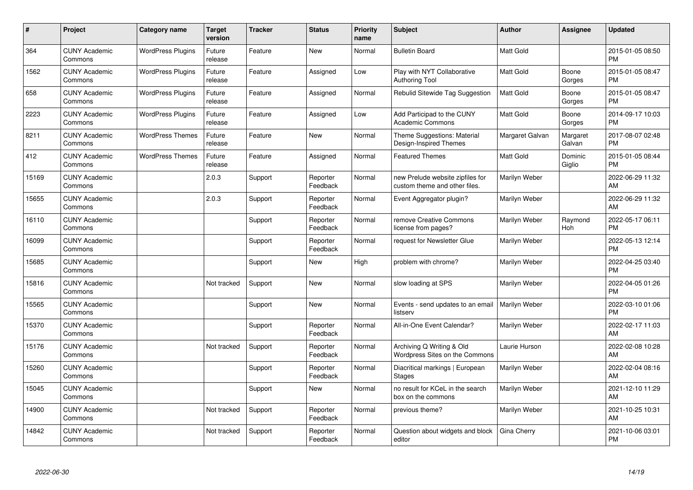| #     | Project                         | <b>Category name</b>     | <b>Target</b><br>version | <b>Tracker</b> | <b>Status</b>        | Priority<br>name | <b>Subject</b>                                                    | <b>Author</b>    | <b>Assignee</b>    | <b>Updated</b>                |
|-------|---------------------------------|--------------------------|--------------------------|----------------|----------------------|------------------|-------------------------------------------------------------------|------------------|--------------------|-------------------------------|
| 364   | <b>CUNY Academic</b><br>Commons | <b>WordPress Plugins</b> | Future<br>release        | Feature        | <b>New</b>           | Normal           | <b>Bulletin Board</b>                                             | <b>Matt Gold</b> |                    | 2015-01-05 08:50<br><b>PM</b> |
| 1562  | <b>CUNY Academic</b><br>Commons | <b>WordPress Plugins</b> | Future<br>release        | Feature        | Assigned             | Low              | Play with NYT Collaborative<br><b>Authoring Tool</b>              | <b>Matt Gold</b> | Boone<br>Gorges    | 2015-01-05 08:47<br><b>PM</b> |
| 658   | <b>CUNY Academic</b><br>Commons | <b>WordPress Plugins</b> | Future<br>release        | Feature        | Assigned             | Normal           | Rebulid Sitewide Tag Suggestion                                   | Matt Gold        | Boone<br>Gorges    | 2015-01-05 08:47<br><b>PM</b> |
| 2223  | <b>CUNY Academic</b><br>Commons | <b>WordPress Plugins</b> | Future<br>release        | Feature        | Assigned             | Low              | Add Participad to the CUNY<br><b>Academic Commons</b>             | Matt Gold        | Boone<br>Gorges    | 2014-09-17 10:03<br><b>PM</b> |
| 8211  | <b>CUNY Academic</b><br>Commons | <b>WordPress Themes</b>  | Future<br>release        | Feature        | <b>New</b>           | Normal           | Theme Suggestions: Material<br>Design-Inspired Themes             | Margaret Galvan  | Margaret<br>Galvan | 2017-08-07 02:48<br><b>PM</b> |
| 412   | <b>CUNY Academic</b><br>Commons | <b>WordPress Themes</b>  | Future<br>release        | Feature        | Assigned             | Normal           | <b>Featured Themes</b>                                            | Matt Gold        | Dominic<br>Giglio  | 2015-01-05 08:44<br><b>PM</b> |
| 15169 | <b>CUNY Academic</b><br>Commons |                          | 2.0.3                    | Support        | Reporter<br>Feedback | Normal           | new Prelude website zipfiles for<br>custom theme and other files. | Marilyn Weber    |                    | 2022-06-29 11:32<br><b>AM</b> |
| 15655 | <b>CUNY Academic</b><br>Commons |                          | 2.0.3                    | Support        | Reporter<br>Feedback | Normal           | Event Aggregator plugin?                                          | Marilyn Weber    |                    | 2022-06-29 11:32<br>AM        |
| 16110 | <b>CUNY Academic</b><br>Commons |                          |                          | Support        | Reporter<br>Feedback | Normal           | remove Creative Commons<br>license from pages?                    | Marilyn Weber    | Raymond<br>Hoh     | 2022-05-17 06:11<br><b>PM</b> |
| 16099 | <b>CUNY Academic</b><br>Commons |                          |                          | Support        | Reporter<br>Feedback | Normal           | request for Newsletter Glue                                       | Marilyn Weber    |                    | 2022-05-13 12:14<br><b>PM</b> |
| 15685 | <b>CUNY Academic</b><br>Commons |                          |                          | Support        | New                  | High             | problem with chrome?                                              | Marilyn Weber    |                    | 2022-04-25 03:40<br><b>PM</b> |
| 15816 | <b>CUNY Academic</b><br>Commons |                          | Not tracked              | Support        | <b>New</b>           | Normal           | slow loading at SPS                                               | Marilyn Weber    |                    | 2022-04-05 01:26<br><b>PM</b> |
| 15565 | <b>CUNY Academic</b><br>Commons |                          |                          | Support        | <b>New</b>           | Normal           | Events - send updates to an email<br>listserv                     | Marilyn Weber    |                    | 2022-03-10 01:06<br><b>PM</b> |
| 15370 | <b>CUNY Academic</b><br>Commons |                          |                          | Support        | Reporter<br>Feedback | Normal           | All-in-One Event Calendar?                                        | Marilyn Weber    |                    | 2022-02-17 11:03<br>AM        |
| 15176 | <b>CUNY Academic</b><br>Commons |                          | Not tracked              | Support        | Reporter<br>Feedback | Normal           | Archiving Q Writing & Old<br>Wordpress Sites on the Commons       | Laurie Hurson    |                    | 2022-02-08 10:28<br>AM        |
| 15260 | <b>CUNY Academic</b><br>Commons |                          |                          | Support        | Reporter<br>Feedback | Normal           | Diacritical markings   European<br><b>Stages</b>                  | Marilyn Weber    |                    | 2022-02-04 08:16<br><b>AM</b> |
| 15045 | <b>CUNY Academic</b><br>Commons |                          |                          | Support        | New                  | Normal           | no result for KCeL in the search<br>box on the commons            | Marilyn Weber    |                    | 2021-12-10 11:29<br>AM        |
| 14900 | <b>CUNY Academic</b><br>Commons |                          | Not tracked              | Support        | Reporter<br>Feedback | Normal           | previous theme?                                                   | Marilyn Weber    |                    | 2021-10-25 10:31<br>AM        |
| 14842 | <b>CUNY Academic</b><br>Commons |                          | Not tracked              | Support        | Reporter<br>Feedback | Normal           | Question about widgets and block<br>editor                        | Gina Cherry      |                    | 2021-10-06 03:01<br>PM        |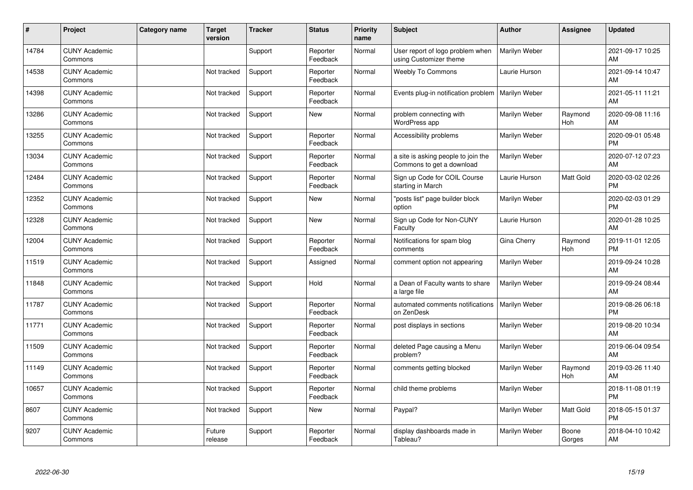| $\#$  | Project                         | <b>Category name</b> | <b>Target</b><br>version | <b>Tracker</b> | <b>Status</b>        | <b>Priority</b><br>name | <b>Subject</b>                                                   | <b>Author</b> | <b>Assignee</b> | <b>Updated</b>                |
|-------|---------------------------------|----------------------|--------------------------|----------------|----------------------|-------------------------|------------------------------------------------------------------|---------------|-----------------|-------------------------------|
| 14784 | <b>CUNY Academic</b><br>Commons |                      |                          | Support        | Reporter<br>Feedback | Normal                  | User report of logo problem when<br>using Customizer theme       | Marilyn Weber |                 | 2021-09-17 10:25<br>AM        |
| 14538 | <b>CUNY Academic</b><br>Commons |                      | Not tracked              | Support        | Reporter<br>Feedback | Normal                  | <b>Weebly To Commons</b>                                         | Laurie Hurson |                 | 2021-09-14 10:47<br>AM        |
| 14398 | <b>CUNY Academic</b><br>Commons |                      | Not tracked              | Support        | Reporter<br>Feedback | Normal                  | Events plug-in notification problem                              | Marilyn Weber |                 | 2021-05-11 11:21<br>AM        |
| 13286 | <b>CUNY Academic</b><br>Commons |                      | Not tracked              | Support        | <b>New</b>           | Normal                  | problem connecting with<br>WordPress app                         | Marilyn Weber | Raymond<br>Hoh  | 2020-09-08 11:16<br>AM        |
| 13255 | <b>CUNY Academic</b><br>Commons |                      | Not tracked              | Support        | Reporter<br>Feedback | Normal                  | Accessibility problems                                           | Marilyn Weber |                 | 2020-09-01 05:48<br><b>PM</b> |
| 13034 | <b>CUNY Academic</b><br>Commons |                      | Not tracked              | Support        | Reporter<br>Feedback | Normal                  | a site is asking people to join the<br>Commons to get a download | Marilyn Weber |                 | 2020-07-12 07:23<br>AM        |
| 12484 | <b>CUNY Academic</b><br>Commons |                      | Not tracked              | Support        | Reporter<br>Feedback | Normal                  | Sign up Code for COIL Course<br>starting in March                | Laurie Hurson | Matt Gold       | 2020-03-02 02:26<br><b>PM</b> |
| 12352 | <b>CUNY Academic</b><br>Commons |                      | Not tracked              | Support        | New                  | Normal                  | "posts list" page builder block<br>option                        | Marilyn Weber |                 | 2020-02-03 01:29<br><b>PM</b> |
| 12328 | <b>CUNY Academic</b><br>Commons |                      | Not tracked              | Support        | New                  | Normal                  | Sign up Code for Non-CUNY<br>Faculty                             | Laurie Hurson |                 | 2020-01-28 10:25<br>AM        |
| 12004 | <b>CUNY Academic</b><br>Commons |                      | Not tracked              | Support        | Reporter<br>Feedback | Normal                  | Notifications for spam blog<br>comments                          | Gina Cherry   | Raymond<br>Hoh  | 2019-11-01 12:05<br><b>PM</b> |
| 11519 | <b>CUNY Academic</b><br>Commons |                      | Not tracked              | Support        | Assigned             | Normal                  | comment option not appearing                                     | Marilyn Weber |                 | 2019-09-24 10:28<br>AM        |
| 11848 | <b>CUNY Academic</b><br>Commons |                      | Not tracked              | Support        | Hold                 | Normal                  | a Dean of Faculty wants to share<br>a large file                 | Marilyn Weber |                 | 2019-09-24 08:44<br>AM        |
| 11787 | <b>CUNY Academic</b><br>Commons |                      | Not tracked              | Support        | Reporter<br>Feedback | Normal                  | automated comments notifications<br>on ZenDesk                   | Marilyn Weber |                 | 2019-08-26 06:18<br><b>PM</b> |
| 11771 | <b>CUNY Academic</b><br>Commons |                      | Not tracked              | Support        | Reporter<br>Feedback | Normal                  | post displays in sections                                        | Marilyn Weber |                 | 2019-08-20 10:34<br>AM        |
| 11509 | <b>CUNY Academic</b><br>Commons |                      | Not tracked              | Support        | Reporter<br>Feedback | Normal                  | deleted Page causing a Menu<br>problem?                          | Marilyn Weber |                 | 2019-06-04 09:54<br>AM        |
| 11149 | <b>CUNY Academic</b><br>Commons |                      | Not tracked              | Support        | Reporter<br>Feedback | Normal                  | comments getting blocked                                         | Marilyn Weber | Raymond<br>Hoh  | 2019-03-26 11:40<br>AM        |
| 10657 | <b>CUNY Academic</b><br>Commons |                      | Not tracked              | Support        | Reporter<br>Feedback | Normal                  | child theme problems                                             | Marilyn Weber |                 | 2018-11-08 01:19<br><b>PM</b> |
| 8607  | <b>CUNY Academic</b><br>Commons |                      | Not tracked              | Support        | New                  | Normal                  | Paypal?                                                          | Marilyn Weber | Matt Gold       | 2018-05-15 01:37<br><b>PM</b> |
| 9207  | <b>CUNY Academic</b><br>Commons |                      | Future<br>release        | Support        | Reporter<br>Feedback | Normal                  | display dashboards made in<br>Tableau?                           | Marilyn Weber | Boone<br>Gorges | 2018-04-10 10:42<br>AM        |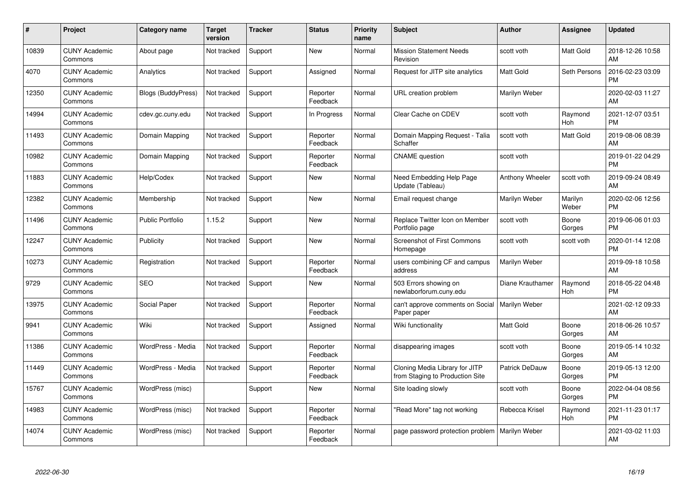| #     | Project                         | Category name             | <b>Target</b><br>version | <b>Tracker</b> | <b>Status</b>        | Priority<br>name | <b>Subject</b>                                                    | <b>Author</b>         | <b>Assignee</b>  | <b>Updated</b>                |
|-------|---------------------------------|---------------------------|--------------------------|----------------|----------------------|------------------|-------------------------------------------------------------------|-----------------------|------------------|-------------------------------|
| 10839 | <b>CUNY Academic</b><br>Commons | About page                | Not tracked              | Support        | <b>New</b>           | Normal           | <b>Mission Statement Needs</b><br>Revision                        | scott voth            | <b>Matt Gold</b> | 2018-12-26 10:58<br>AM        |
| 4070  | <b>CUNY Academic</b><br>Commons | Analytics                 | Not tracked              | Support        | Assigned             | Normal           | Request for JITP site analytics                                   | <b>Matt Gold</b>      | Seth Persons     | 2016-02-23 03:09<br><b>PM</b> |
| 12350 | <b>CUNY Academic</b><br>Commons | <b>Blogs (BuddyPress)</b> | Not tracked              | Support        | Reporter<br>Feedback | Normal           | URL creation problem                                              | Marilyn Weber         |                  | 2020-02-03 11:27<br>AM        |
| 14994 | <b>CUNY Academic</b><br>Commons | cdev.gc.cuny.edu          | Not tracked              | Support        | In Progress          | Normal           | Clear Cache on CDEV                                               | scott voth            | Raymond<br>Hoh   | 2021-12-07 03:51<br><b>PM</b> |
| 11493 | <b>CUNY Academic</b><br>Commons | Domain Mapping            | Not tracked              | Support        | Reporter<br>Feedback | Normal           | Domain Mapping Request - Talia<br>Schaffer                        | scott voth            | Matt Gold        | 2019-08-06 08:39<br>AM        |
| 10982 | <b>CUNY Academic</b><br>Commons | Domain Mapping            | Not tracked              | Support        | Reporter<br>Feedback | Normal           | <b>CNAME</b> question                                             | scott voth            |                  | 2019-01-22 04:29<br><b>PM</b> |
| 11883 | <b>CUNY Academic</b><br>Commons | Help/Codex                | Not tracked              | Support        | New                  | Normal           | Need Embedding Help Page<br>Update (Tableau)                      | Anthony Wheeler       | scott voth       | 2019-09-24 08:49<br>AM        |
| 12382 | <b>CUNY Academic</b><br>Commons | Membership                | Not tracked              | Support        | New                  | Normal           | Email request change                                              | Marilyn Weber         | Marilyn<br>Weber | 2020-02-06 12:56<br><b>PM</b> |
| 11496 | <b>CUNY Academic</b><br>Commons | <b>Public Portfolio</b>   | 1.15.2                   | Support        | New                  | Normal           | Replace Twitter Icon on Member<br>Portfolio page                  | scott voth            | Boone<br>Gorges  | 2019-06-06 01:03<br><b>PM</b> |
| 12247 | <b>CUNY Academic</b><br>Commons | Publicity                 | Not tracked              | Support        | New                  | Normal           | <b>Screenshot of First Commons</b><br>Homepage                    | scott voth            | scott voth       | 2020-01-14 12:08<br><b>PM</b> |
| 10273 | <b>CUNY Academic</b><br>Commons | Registration              | Not tracked              | Support        | Reporter<br>Feedback | Normal           | users combining CF and campus<br>address                          | Marilyn Weber         |                  | 2019-09-18 10:58<br>AM        |
| 9729  | <b>CUNY Academic</b><br>Commons | SEO                       | Not tracked              | Support        | New                  | Normal           | 503 Errors showing on<br>newlaborforum.cuny.edu                   | Diane Krauthamer      | Raymond<br>Hoh   | 2018-05-22 04:48<br><b>PM</b> |
| 13975 | <b>CUNY Academic</b><br>Commons | Social Paper              | Not tracked              | Support        | Reporter<br>Feedback | Normal           | can't approve comments on Social<br>Paper paper                   | Marilyn Weber         |                  | 2021-02-12 09:33<br>AM        |
| 9941  | <b>CUNY Academic</b><br>Commons | Wiki                      | Not tracked              | Support        | Assigned             | Normal           | Wiki functionality                                                | <b>Matt Gold</b>      | Boone<br>Gorges  | 2018-06-26 10:57<br>AM        |
| 11386 | <b>CUNY Academic</b><br>Commons | WordPress - Media         | Not tracked              | Support        | Reporter<br>Feedback | Normal           | disappearing images                                               | scott voth            | Boone<br>Gorges  | 2019-05-14 10:32<br>AM        |
| 11449 | <b>CUNY Academic</b><br>Commons | WordPress - Media         | Not tracked              | Support        | Reporter<br>Feedback | Normal           | Cloning Media Library for JITP<br>from Staging to Production Site | <b>Patrick DeDauw</b> | Boone<br>Gorges  | 2019-05-13 12:00<br><b>PM</b> |
| 15767 | <b>CUNY Academic</b><br>Commons | WordPress (misc)          |                          | Support        | New                  | Normal           | Site loading slowly                                               | scott voth            | Boone<br>Gorges  | 2022-04-04 08:56<br><b>PM</b> |
| 14983 | <b>CUNY Academic</b><br>Commons | WordPress (misc)          | Not tracked              | Support        | Reporter<br>Feedback | Normal           | "Read More" tag not working                                       | Rebecca Krisel        | Raymond<br>Hoh   | 2021-11-23 01:17<br><b>PM</b> |
| 14074 | CUNY Academic<br>Commons        | WordPress (misc)          | Not tracked              | Support        | Reporter<br>Feedback | Normal           | page password protection problem                                  | Marilyn Weber         |                  | 2021-03-02 11:03<br>AM        |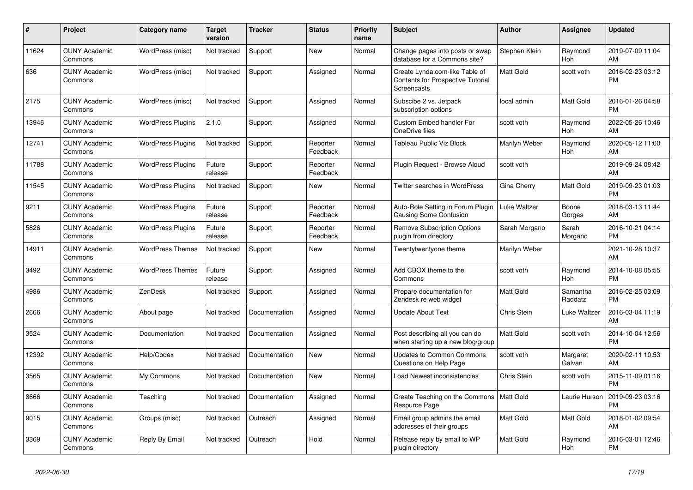| $\pmb{\#}$ | <b>Project</b>                  | <b>Category name</b>     | <b>Target</b><br>version | <b>Tracker</b> | <b>Status</b>        | <b>Priority</b><br>name | <b>Subject</b>                                                                            | <b>Author</b>    | Assignee            | <b>Updated</b>                |
|------------|---------------------------------|--------------------------|--------------------------|----------------|----------------------|-------------------------|-------------------------------------------------------------------------------------------|------------------|---------------------|-------------------------------|
| 11624      | <b>CUNY Academic</b><br>Commons | WordPress (misc)         | Not tracked              | Support        | New                  | Normal                  | Change pages into posts or swap<br>database for a Commons site?                           | Stephen Klein    | Raymond<br>Hoh      | 2019-07-09 11:04<br>AM        |
| 636        | <b>CUNY Academic</b><br>Commons | WordPress (misc)         | Not tracked              | Support        | Assigned             | Normal                  | Create Lynda.com-like Table of<br><b>Contents for Prospective Tutorial</b><br>Screencasts | Matt Gold        | scott voth          | 2016-02-23 03:12<br><b>PM</b> |
| 2175       | <b>CUNY Academic</b><br>Commons | WordPress (misc)         | Not tracked              | Support        | Assigned             | Normal                  | Subscibe 2 vs. Jetpack<br>subscription options                                            | local admin      | <b>Matt Gold</b>    | 2016-01-26 04:58<br><b>PM</b> |
| 13946      | <b>CUNY Academic</b><br>Commons | <b>WordPress Plugins</b> | 2.1.0                    | Support        | Assigned             | Normal                  | <b>Custom Embed handler For</b><br>OneDrive files                                         | scott voth       | Raymond<br>Hoh      | 2022-05-26 10:46<br>AM        |
| 12741      | <b>CUNY Academic</b><br>Commons | <b>WordPress Plugins</b> | Not tracked              | Support        | Reporter<br>Feedback | Normal                  | Tableau Public Viz Block                                                                  | Marilyn Weber    | Raymond<br>Hoh      | 2020-05-12 11:00<br>AM        |
| 11788      | <b>CUNY Academic</b><br>Commons | <b>WordPress Plugins</b> | Future<br>release        | Support        | Reporter<br>Feedback | Normal                  | Plugin Request - Browse Aloud                                                             | scott voth       |                     | 2019-09-24 08:42<br>AM        |
| 11545      | <b>CUNY Academic</b><br>Commons | <b>WordPress Plugins</b> | Not tracked              | Support        | <b>New</b>           | Normal                  | Twitter searches in WordPress                                                             | Gina Cherry      | Matt Gold           | 2019-09-23 01:03<br><b>PM</b> |
| 9211       | <b>CUNY Academic</b><br>Commons | <b>WordPress Plugins</b> | Future<br>release        | Support        | Reporter<br>Feedback | Normal                  | Auto-Role Setting in Forum Plugin<br>Causing Some Confusion                               | Luke Waltzer     | Boone<br>Gorges     | 2018-03-13 11:44<br>AM        |
| 5826       | <b>CUNY Academic</b><br>Commons | <b>WordPress Plugins</b> | Future<br>release        | Support        | Reporter<br>Feedback | Normal                  | <b>Remove Subscription Options</b><br>plugin from directory                               | Sarah Morgano    | Sarah<br>Morgano    | 2016-10-21 04:14<br><b>PM</b> |
| 14911      | <b>CUNY Academic</b><br>Commons | <b>WordPress Themes</b>  | Not tracked              | Support        | <b>New</b>           | Normal                  | Twentytwentyone theme                                                                     | Marilyn Weber    |                     | 2021-10-28 10:37<br>AM        |
| 3492       | <b>CUNY Academic</b><br>Commons | <b>WordPress Themes</b>  | Future<br>release        | Support        | Assigned             | Normal                  | Add CBOX theme to the<br>Commons                                                          | scott voth       | Raymond<br>Hoh      | 2014-10-08 05:55<br><b>PM</b> |
| 4986       | <b>CUNY Academic</b><br>Commons | ZenDesk                  | Not tracked              | Support        | Assigned             | Normal                  | Prepare documentation for<br>Zendesk re web widget                                        | <b>Matt Gold</b> | Samantha<br>Raddatz | 2016-02-25 03:09<br><b>PM</b> |
| 2666       | <b>CUNY Academic</b><br>Commons | About page               | Not tracked              | Documentation  | Assigned             | Normal                  | <b>Update About Text</b>                                                                  | Chris Stein      | Luke Waltzer        | 2016-03-04 11:19<br>AM        |
| 3524       | <b>CUNY Academic</b><br>Commons | Documentation            | Not tracked              | Documentation  | Assigned             | Normal                  | Post describing all you can do<br>when starting up a new blog/group                       | Matt Gold        | scott voth          | 2014-10-04 12:56<br><b>PM</b> |
| 12392      | <b>CUNY Academic</b><br>Commons | Help/Codex               | Not tracked              | Documentation  | New                  | Normal                  | <b>Updates to Common Commons</b><br>Questions on Help Page                                | scott voth       | Margaret<br>Galvan  | 2020-02-11 10:53<br>AM        |
| 3565       | <b>CUNY Academic</b><br>Commons | My Commons               | Not tracked              | Documentation  | <b>New</b>           | Normal                  | Load Newest inconsistencies                                                               | Chris Stein      | scott voth          | 2015-11-09 01:16<br><b>PM</b> |
| 8666       | <b>CUNY Academic</b><br>Commons | Teaching                 | Not tracked              | Documentation  | Assigned             | Normal                  | Create Teaching on the Commons   Matt Gold<br>Resource Page                               |                  | Laurie Hurson       | 2019-09-23 03:16<br><b>PM</b> |
| 9015       | <b>CUNY Academic</b><br>Commons | Groups (misc)            | Not tracked              | Outreach       | Assigned             | Normal                  | Email group admins the email<br>addresses of their groups                                 | Matt Gold        | Matt Gold           | 2018-01-02 09:54<br>AM        |
| 3369       | <b>CUNY Academic</b><br>Commons | Reply By Email           | Not tracked              | Outreach       | Hold                 | Normal                  | Release reply by email to WP<br>plugin directory                                          | <b>Matt Gold</b> | Raymond<br>Hoh      | 2016-03-01 12:46<br><b>PM</b> |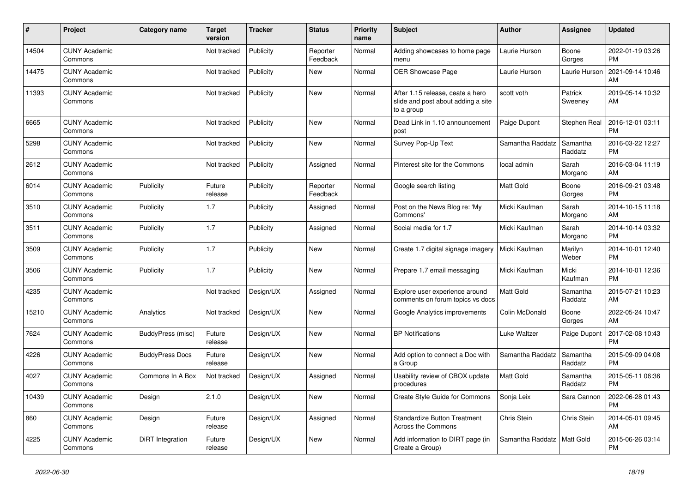| #     | Project                         | <b>Category name</b>   | <b>Target</b><br>version | <b>Tracker</b> | <b>Status</b>        | <b>Priority</b><br>name | <b>Subject</b>                                                                       | <b>Author</b>    | <b>Assignee</b>     | <b>Updated</b>                |
|-------|---------------------------------|------------------------|--------------------------|----------------|----------------------|-------------------------|--------------------------------------------------------------------------------------|------------------|---------------------|-------------------------------|
| 14504 | <b>CUNY Academic</b><br>Commons |                        | Not tracked              | Publicity      | Reporter<br>Feedback | Normal                  | Adding showcases to home page<br>menu                                                | Laurie Hurson    | Boone<br>Gorges     | 2022-01-19 03:26<br><b>PM</b> |
| 14475 | <b>CUNY Academic</b><br>Commons |                        | Not tracked              | Publicity      | New                  | Normal                  | <b>OER Showcase Page</b>                                                             | Laurie Hurson    | Laurie Hurson       | 2021-09-14 10:46<br>AM        |
| 11393 | <b>CUNY Academic</b><br>Commons |                        | Not tracked              | Publicity      | <b>New</b>           | Normal                  | After 1.15 release, ceate a hero<br>slide and post about adding a site<br>to a group | scott voth       | Patrick<br>Sweeney  | 2019-05-14 10:32<br>AM        |
| 6665  | <b>CUNY Academic</b><br>Commons |                        | Not tracked              | Publicity      | New                  | Normal                  | Dead Link in 1.10 announcement<br>post                                               | Paige Dupont     | Stephen Real        | 2016-12-01 03:11<br><b>PM</b> |
| 5298  | <b>CUNY Academic</b><br>Commons |                        | Not tracked              | Publicity      | New                  | Normal                  | Survey Pop-Up Text                                                                   | Samantha Raddatz | Samantha<br>Raddatz | 2016-03-22 12:27<br><b>PM</b> |
| 2612  | <b>CUNY Academic</b><br>Commons |                        | Not tracked              | Publicity      | Assigned             | Normal                  | Pinterest site for the Commons                                                       | local admin      | Sarah<br>Morgano    | 2016-03-04 11:19<br>AM        |
| 6014  | <b>CUNY Academic</b><br>Commons | Publicity              | Future<br>release        | Publicity      | Reporter<br>Feedback | Normal                  | Google search listing                                                                | Matt Gold        | Boone<br>Gorges     | 2016-09-21 03:48<br><b>PM</b> |
| 3510  | <b>CUNY Academic</b><br>Commons | Publicity              | 1.7                      | Publicity      | Assigned             | Normal                  | Post on the News Blog re: 'My<br>Commons'                                            | Micki Kaufman    | Sarah<br>Morgano    | 2014-10-15 11:18<br><b>AM</b> |
| 3511  | <b>CUNY Academic</b><br>Commons | Publicity              | 1.7                      | Publicity      | Assigned             | Normal                  | Social media for 1.7                                                                 | Micki Kaufman    | Sarah<br>Morgano    | 2014-10-14 03:32<br><b>PM</b> |
| 3509  | <b>CUNY Academic</b><br>Commons | Publicity              | 1.7                      | Publicity      | New                  | Normal                  | Create 1.7 digital signage imagery                                                   | Micki Kaufman    | Marilyn<br>Weber    | 2014-10-01 12:40<br><b>PM</b> |
| 3506  | <b>CUNY Academic</b><br>Commons | Publicity              | 1.7                      | Publicity      | New                  | Normal                  | Prepare 1.7 email messaging                                                          | Micki Kaufman    | Micki<br>Kaufman    | 2014-10-01 12:36<br><b>PM</b> |
| 4235  | <b>CUNY Academic</b><br>Commons |                        | Not tracked              | Design/UX      | Assigned             | Normal                  | Explore user experience around<br>comments on forum topics vs docs                   | <b>Matt Gold</b> | Samantha<br>Raddatz | 2015-07-21 10:23<br>AM        |
| 15210 | <b>CUNY Academic</b><br>Commons | Analytics              | Not tracked              | Design/UX      | New                  | Normal                  | Google Analytics improvements                                                        | Colin McDonald   | Boone<br>Gorges     | 2022-05-24 10:47<br>AM        |
| 7624  | <b>CUNY Academic</b><br>Commons | BuddyPress (misc)      | Future<br>release        | Design/UX      | New                  | Normal                  | <b>BP Notifications</b>                                                              | Luke Waltzer     | Paige Dupont        | 2017-02-08 10:43<br><b>PM</b> |
| 4226  | <b>CUNY Academic</b><br>Commons | <b>BuddyPress Docs</b> | Future<br>release        | Design/UX      | New                  | Normal                  | Add option to connect a Doc with<br>a Group                                          | Samantha Raddatz | Samantha<br>Raddatz | 2015-09-09 04:08<br><b>PM</b> |
| 4027  | <b>CUNY Academic</b><br>Commons | Commons In A Box       | Not tracked              | Design/UX      | Assigned             | Normal                  | Usability review of CBOX update<br>procedures                                        | <b>Matt Gold</b> | Samantha<br>Raddatz | 2015-05-11 06:36<br><b>PM</b> |
| 10439 | <b>CUNY Academic</b><br>Commons | Design                 | 2.1.0                    | Design/UX      | <b>New</b>           | Normal                  | Create Style Guide for Commons                                                       | Sonja Leix       | Sara Cannon         | 2022-06-28 01:43<br><b>PM</b> |
| 860   | <b>CUNY Academic</b><br>Commons | Design                 | Future<br>release        | Design/UX      | Assigned             | Normal                  | <b>Standardize Button Treatment</b><br>Across the Commons                            | Chris Stein      | Chris Stein         | 2014-05-01 09:45<br>AM        |
| 4225  | <b>CUNY Academic</b><br>Commons | DiRT Integration       | Future<br>release        | Design/UX      | <b>New</b>           | Normal                  | Add information to DIRT page (in<br>Create a Group)                                  | Samantha Raddatz | Matt Gold           | 2015-06-26 03:14<br><b>PM</b> |